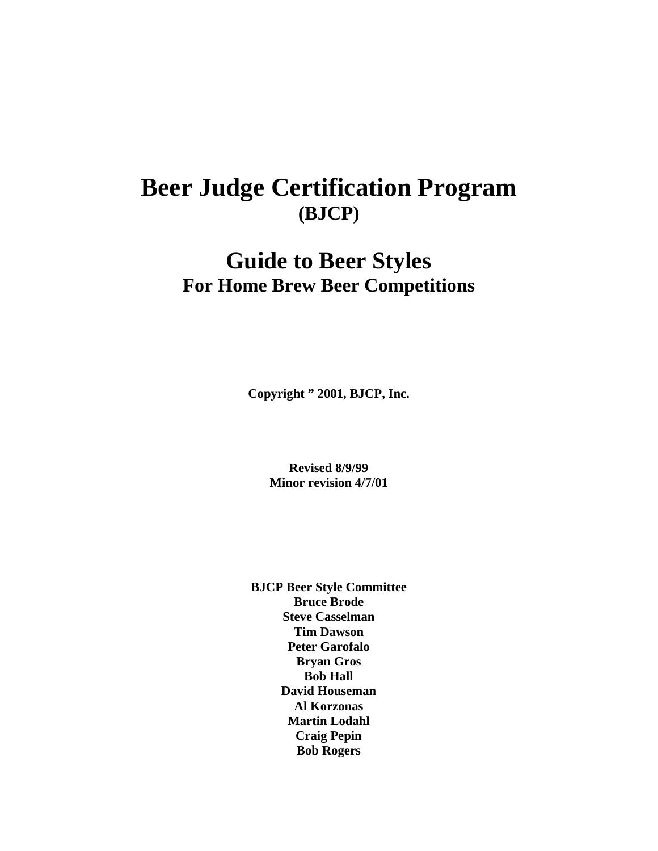# **Beer Judge Certification Program (BJCP)**

# **Guide to Beer Styles For Home Brew Beer Competitions**

**Copyright " 2001, BJCP, Inc.**

**Revised 8/9/99 Minor revision 4/7/01**

**BJCP Beer Style Committee Bruce Brode Steve Casselman Tim Dawson Peter Garofalo Bryan Gros Bob Hall David Houseman Al Korzonas Martin Lodahl Craig Pepin Bob Rogers**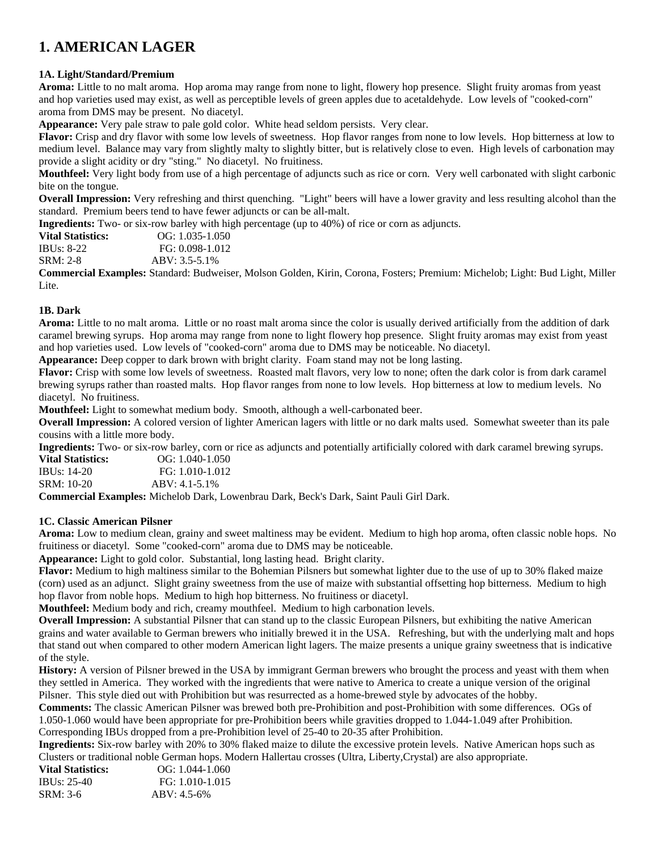# **1. AMERICAN LAGER**

### **1A. Light/Standard/Premium**

**Aroma:** Little to no malt aroma. Hop aroma may range from none to light, flowery hop presence. Slight fruity aromas from yeast and hop varieties used may exist, as well as perceptible levels of green apples due to acetaldehyde. Low levels of "cooked-corn" aroma from DMS may be present. No diacetyl.

**Appearance:** Very pale straw to pale gold color. White head seldom persists. Very clear.

**Flavor:** Crisp and dry flavor with some low levels of sweetness. Hop flavor ranges from none to low levels. Hop bitterness at low to medium level. Balance may vary from slightly malty to slightly bitter, but is relatively close to even. High levels of carbonation may provide a slight acidity or dry "sting." No diacetyl. No fruitiness.

**Mouthfeel:** Very light body from use of a high percentage of adjuncts such as rice or corn. Very well carbonated with slight carbonic bite on the tongue.

**Overall Impression:** Very refreshing and thirst quenching. "Light" beers will have a lower gravity and less resulting alcohol than the standard. Premium beers tend to have fewer adjuncts or can be all-malt.

**Ingredients:** Two- or six-row barley with high percentage (up to 40%) of rice or corn as adjuncts.

**Vital Statistics:** OG: 1.035-1.050<br>IBUs: 8-22 FG: 0.098-1.012 FG: 0.098-1.012 SRM: 2-8 ABV: 3.5-5.1%

**Commercial Examples:** Standard: Budweiser, Molson Golden, Kirin, Corona, Fosters; Premium: Michelob; Light: Bud Light, Miller Lite.

### **1B. Dark**

**Aroma:** Little to no malt aroma. Little or no roast malt aroma since the color is usually derived artificially from the addition of dark caramel brewing syrups. Hop aroma may range from none to light flowery hop presence. Slight fruity aromas may exist from yeast and hop varieties used. Low levels of "cooked-corn" aroma due to DMS may be noticeable. No diacetyl.

**Appearance:** Deep copper to dark brown with bright clarity. Foam stand may not be long lasting.

**Flavor:** Crisp with some low levels of sweetness. Roasted malt flavors, very low to none; often the dark color is from dark caramel brewing syrups rather than roasted malts. Hop flavor ranges from none to low levels. Hop bitterness at low to medium levels. No diacetyl. No fruitiness.

**Mouthfeel:** Light to somewhat medium body. Smooth, although a well-carbonated beer.

**Overall Impression:** A colored version of lighter American lagers with little or no dark malts used. Somewhat sweeter than its pale cousins with a little more body.

**Ingredients:** Two- or six-row barley, corn or rice as adjuncts and potentially artificially colored with dark caramel brewing syrups.

| <b>Vital Statistics:</b> | $OG: 1.040-1.050$  |
|--------------------------|--------------------|
| IBUs: 14-20              | FG: 1.010-1.012    |
| SRM: 10-20               | $ABV: 4.1 - 5.1\%$ |
|                          | .                  |

**Commercial Examples:** Michelob Dark, Lowenbrau Dark, Beck's Dark, Saint Pauli Girl Dark.

#### **1C. Classic American Pilsner**

**Aroma:** Low to medium clean, grainy and sweet maltiness may be evident. Medium to high hop aroma, often classic noble hops. No fruitiness or diacetyl. Some "cooked-corn" aroma due to DMS may be noticeable.

**Appearance:** Light to gold color. Substantial, long lasting head. Bright clarity.

**Flavor:** Medium to high maltiness similar to the Bohemian Pilsners but somewhat lighter due to the use of up to 30% flaked maize (corn) used as an adjunct. Slight grainy sweetness from the use of maize with substantial offsetting hop bitterness. Medium to high hop flavor from noble hops. Medium to high hop bitterness. No fruitiness or diacetyl.

**Mouthfeel:** Medium body and rich, creamy mouthfeel. Medium to high carbonation levels.

**Overall Impression:** A substantial Pilsner that can stand up to the classic European Pilsners, but exhibiting the native American grains and water available to German brewers who initially brewed it in the USA. Refreshing, but with the underlying malt and hops that stand out when compared to other modern American light lagers. The maize presents a unique grainy sweetness that is indicative of the style.

**History:** A version of Pilsner brewed in the USA by immigrant German brewers who brought the process and yeast with them when they settled in America. They worked with the ingredients that were native to America to create a unique version of the original Pilsner. This style died out with Prohibition but was resurrected as a home-brewed style by advocates of the hobby.

**Comments:** The classic American Pilsner was brewed both pre-Prohibition and post-Prohibition with some differences. OGs of 1.050-1.060 would have been appropriate for pre-Prohibition beers while gravities dropped to 1.044-1.049 after Prohibition. Corresponding IBUs dropped from a pre-Prohibition level of 25-40 to 20-35 after Prohibition.

**Ingredients:** Six-row barley with 20% to 30% flaked maize to dilute the excessive protein levels. Native American hops such as Clusters or traditional noble German hops. Modern Hallertau crosses (Ultra, Liberty,Crystal) are also appropriate.

| $OG: 1.044-1.060$ |
|-------------------|
| FG: 1.010-1.015   |
| $ABV: 4.5-6%$     |
|                   |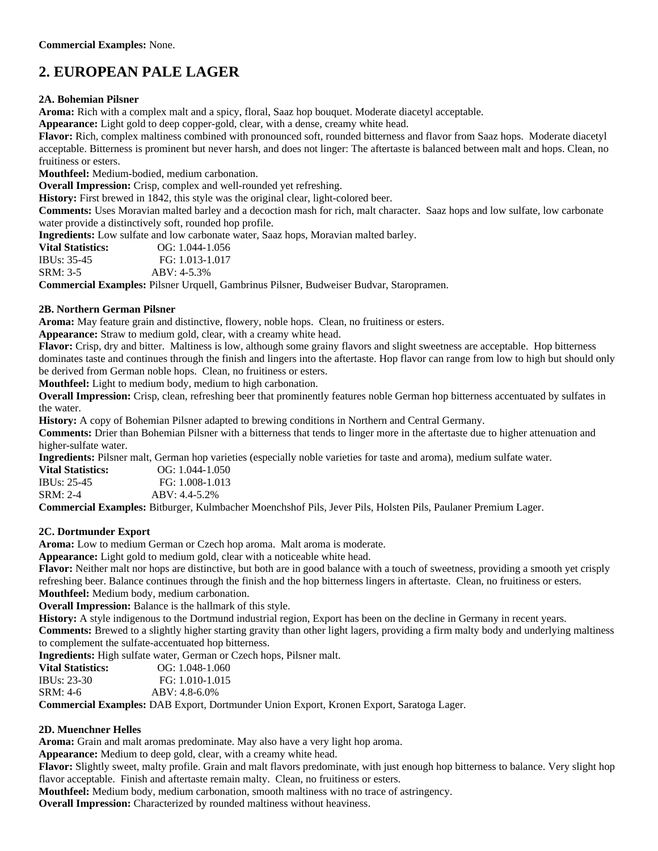# **2. EUROPEAN PALE LAGER**

#### **2A. Bohemian Pilsner**

**Aroma:** Rich with a complex malt and a spicy, floral, Saaz hop bouquet. Moderate diacetyl acceptable.

**Appearance:** Light gold to deep copper-gold, clear, with a dense, creamy white head.

**Flavor:** Rich, complex maltiness combined with pronounced soft, rounded bitterness and flavor from Saaz hops. Moderate diacetyl acceptable. Bitterness is prominent but never harsh, and does not linger: The aftertaste is balanced between malt and hops. Clean, no fruitiness or esters.

**Mouthfeel:** Medium-bodied, medium carbonation.

**Overall Impression:** Crisp, complex and well-rounded yet refreshing.

**History:** First brewed in 1842, this style was the original clear, light-colored beer.

**Comments:** Uses Moravian malted barley and a decoction mash for rich, malt character. Saaz hops and low sulfate, low carbonate water provide a distinctively soft, rounded hop profile.

**Ingredients:** Low sulfate and low carbonate water, Saaz hops, Moravian malted barley.

| <b>Vital Statistics:</b> |  | $OG: 1.044-1.056$                                              |  |
|--------------------------|--|----------------------------------------------------------------|--|
| IBUs: 35-45              |  | FG: 1.013-1.017                                                |  |
| SRM: 3-5                 |  | $ABV: 4-5.3%$                                                  |  |
| $\sim$ $\sim$<br>.       |  | $\mathbf{D}^{11}$ $\mathbf{I}^T$ $\mathbf{I}^T$ $\mathbf{A}^T$ |  |

**Commercial Examples:** Pilsner Urquell, Gambrinus Pilsner, Budweiser Budvar, Staropramen.

#### **2B. Northern German Pilsner**

**Aroma:** May feature grain and distinctive, flowery, noble hops. Clean, no fruitiness or esters.

**Appearance:** Straw to medium gold, clear, with a creamy white head.

**Flavor:** Crisp, dry and bitter. Maltiness is low, although some grainy flavors and slight sweetness are acceptable. Hop bitterness dominates taste and continues through the finish and lingers into the aftertaste. Hop flavor can range from low to high but should only be derived from German noble hops. Clean, no fruitiness or esters.

**Mouthfeel:** Light to medium body, medium to high carbonation.

**Overall Impression:** Crisp, clean, refreshing beer that prominently features noble German hop bitterness accentuated by sulfates in the water.

**History:** A copy of Bohemian Pilsner adapted to brewing conditions in Northern and Central Germany.

**Comments:** Drier than Bohemian Pilsner with a bitterness that tends to linger more in the aftertaste due to higher attenuation and higher-sulfate water.

**Ingredients:** Pilsner malt, German hop varieties (especially noble varieties for taste and aroma), medium sulfate water.

| <b>Vital Statistics:</b> | $OG: 1.044-1.050$ |
|--------------------------|-------------------|
| IBUs: 25-45              | FG: 1.008-1.013   |
| SRM: 2-4                 | $ABV: 4.4-5.2\%$  |

**Commercial Examples:** Bitburger, Kulmbacher Moenchshof Pils, Jever Pils, Holsten Pils, Paulaner Premium Lager.

#### **2C. Dortmunder Export**

**Aroma:** Low to medium German or Czech hop aroma. Malt aroma is moderate.

**Appearance:** Light gold to medium gold, clear with a noticeable white head.

**Flavor:** Neither malt nor hops are distinctive, but both are in good balance with a touch of sweetness, providing a smooth yet crisply refreshing beer. Balance continues through the finish and the hop bitterness lingers in aftertaste. Clean, no fruitiness or esters. **Mouthfeel:** Medium body, medium carbonation.

**Overall Impression:** Balance is the hallmark of this style.

**History:** A style indigenous to the Dortmund industrial region, Export has been on the decline in Germany in recent years. **Comments:** Brewed to a slightly higher starting gravity than other light lagers, providing a firm malty body and underlying maltiness to complement the sulfate-accentuated hop bitterness.

**Ingredients:** High sulfate water, German or Czech hops, Pilsner malt.

| <b>Vital Statistics:</b> | $OG: 1.048-1.060$ |
|--------------------------|-------------------|
| <b>IBUs: 23-30</b>       | FG: 1.010-1.015   |
| SRM: 4-6                 | $ABV: 4.8-6.0\%$  |

**Commercial Examples:** DAB Export, Dortmunder Union Export, Kronen Export, Saratoga Lager.

#### **2D. Muenchner Helles**

**Aroma:** Grain and malt aromas predominate. May also have a very light hop aroma.

**Appearance:** Medium to deep gold, clear, with a creamy white head.

**Flavor:** Slightly sweet, malty profile. Grain and malt flavors predominate, with just enough hop bitterness to balance. Very slight hop flavor acceptable. Finish and aftertaste remain malty. Clean, no fruitiness or esters.

**Mouthfeel:** Medium body, medium carbonation, smooth maltiness with no trace of astringency.

**Overall Impression:** Characterized by rounded maltiness without heaviness.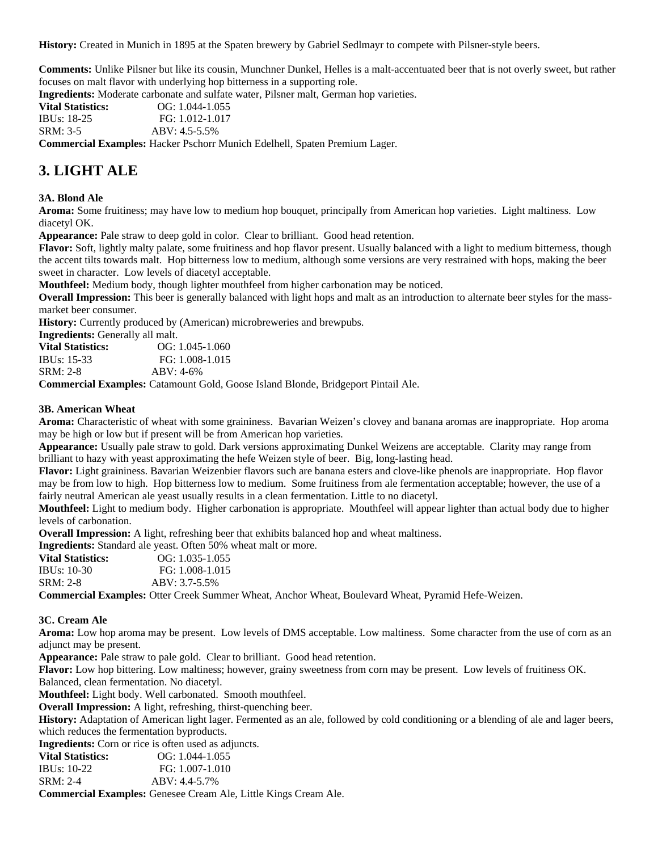**History:** Created in Munich in 1895 at the Spaten brewery by Gabriel Sedlmayr to compete with Pilsner-style beers.

**Comments:** Unlike Pilsner but like its cousin, Munchner Dunkel, Helles is a malt-accentuated beer that is not overly sweet, but rather focuses on malt flavor with underlying hop bitterness in a supporting role.

**Ingredients:** Moderate carbonate and sulfate water, Pilsner malt, German hop varieties.

| <b>Vital Statistics:</b> | $OG: 1.044-1.055$                                                         |  |
|--------------------------|---------------------------------------------------------------------------|--|
| <b>IBUs: 18-25</b>       | FG: 1.012-1.017                                                           |  |
| SRM: 3-5                 | ABV: 4.5-5.5%                                                             |  |
|                          | <b>Commercial Examples:</b> Hacker Pschorr Munich Edelbell, Spaten Premiu |  |

**Commercial Examples:** Hacker Pschorr Munich Edelhell, Spaten Premium Lager.

## **3. LIGHT ALE**

#### **3A. Blond Ale**

**Aroma:** Some fruitiness; may have low to medium hop bouquet, principally from American hop varieties. Light maltiness. Low diacetyl OK.

**Appearance:** Pale straw to deep gold in color. Clear to brilliant. Good head retention.

**Flavor:** Soft, lightly malty palate, some fruitiness and hop flavor present. Usually balanced with a light to medium bitterness, though the accent tilts towards malt. Hop bitterness low to medium, although some versions are very restrained with hops, making the beer sweet in character. Low levels of diacetyl acceptable.

**Mouthfeel:** Medium body, though lighter mouthfeel from higher carbonation may be noticed.

**Overall Impression:** This beer is generally balanced with light hops and malt as an introduction to alternate beer styles for the massmarket beer consumer.

**History:** Currently produced by (American) microbreweries and brewpubs.

**Ingredients:** Generally all malt.

| <b>Vital Statistics:</b> | $OG: 1.045-1.060$ |
|--------------------------|-------------------|
| <b>IBUs: 15-33</b>       | FG: 1.008-1.015   |
| SRM: 2-8                 | $ABV: 4-6%$       |

**Commercial Examples:** Catamount Gold, Goose Island Blonde, Bridgeport Pintail Ale.

#### **3B. American Wheat**

**Aroma:** Characteristic of wheat with some graininess. Bavarian Weizen's clovey and banana aromas are inappropriate. Hop aroma may be high or low but if present will be from American hop varieties.

**Appearance:** Usually pale straw to gold. Dark versions approximating Dunkel Weizens are acceptable. Clarity may range from brilliant to hazy with yeast approximating the hefe Weizen style of beer. Big, long-lasting head.

**Flavor:** Light graininess. Bavarian Weizenbier flavors such are banana esters and clove-like phenols are inappropriate. Hop flavor may be from low to high. Hop bitterness low to medium. Some fruitiness from ale fermentation acceptable; however, the use of a fairly neutral American ale yeast usually results in a clean fermentation. Little to no diacetyl.

**Mouthfeel:** Light to medium body. Higher carbonation is appropriate. Mouthfeel will appear lighter than actual body due to higher levels of carbonation.

**Overall Impression:** A light, refreshing beer that exhibits balanced hop and wheat maltiness.

**Ingredients:** Standard ale yeast. Often 50% wheat malt or more.

| <b>Vital Statistics:</b> | $OG: 1.035-1.055$ |
|--------------------------|-------------------|
| <b>IBUs: 10-30</b>       | FG: 1.008-1.015   |
| SRM: 2-8                 | $ABV: 3.7-5.5\%$  |

**Commercial Examples:** Otter Creek Summer Wheat, Anchor Wheat, Boulevard Wheat, Pyramid Hefe-Weizen.

#### **3C. Cream Ale**

**Aroma:** Low hop aroma may be present. Low levels of DMS acceptable. Low maltiness. Some character from the use of corn as an adjunct may be present.

**Appearance:** Pale straw to pale gold. Clear to brilliant. Good head retention.

**Flavor:** Low hop bittering. Low maltiness; however, grainy sweetness from corn may be present. Low levels of fruitiness OK. Balanced, clean fermentation. No diacetyl.

**Mouthfeel:** Light body. Well carbonated. Smooth mouthfeel.

**Overall Impression:** A light, refreshing, thirst-quenching beer.

**History:** Adaptation of American light lager. Fermented as an ale, followed by cold conditioning or a blending of ale and lager beers, which reduces the fermentation byproducts.

**Ingredients:** Corn or rice is often used as adjuncts.

| <b>Vital Statistics:</b> | $OG: 1.044-1.055$ |
|--------------------------|-------------------|
| <b>IBUs:</b> 10-22       | FG: 1.007-1.010   |
| SRM: 2-4                 | $ABV: 4.4-5.7\%$  |

**Commercial Examples:** Genesee Cream Ale, Little Kings Cream Ale.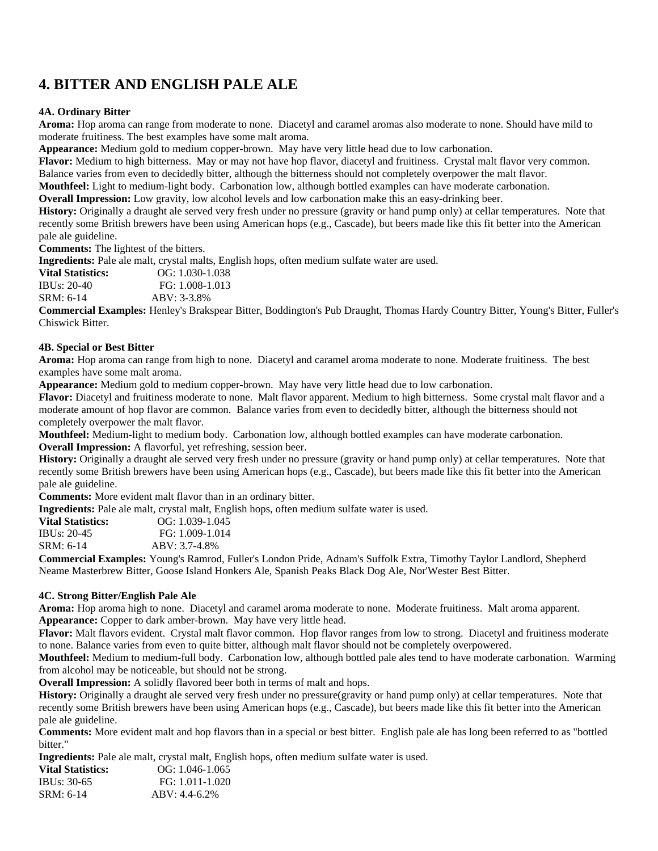# **4. BITTER AND ENGLISH PALE ALE**

#### **4A. Ordinary Bitter**

**Aroma:** Hop aroma can range from moderate to none. Diacetyl and caramel aromas also moderate to none. Should have mild to moderate fruitiness. The best examples have some malt aroma.

**Appearance:** Medium gold to medium copper-brown. May have very little head due to low carbonation.

**Flavor:** Medium to high bitterness. May or may not have hop flavor, diacetyl and fruitiness. Crystal malt flavor very common.

Balance varies from even to decidedly bitter, although the bitterness should not completely overpower the malt flavor. **Mouthfeel:** Light to medium-light body. Carbonation low, although bottled examples can have moderate carbonation.

**Overall Impression:** Low gravity, low alcohol levels and low carbonation make this an easy-drinking beer.

**History:** Originally a draught ale served very fresh under no pressure (gravity or hand pump only) at cellar temperatures. Note that recently some British brewers have been using American hops (e.g., Cascade), but beers made like this fit better into the American pale ale guideline.

**Comments:** The lightest of the bitters.

**Ingredients:** Pale ale malt, crystal malts, English hops, often medium sulfate water are used.

**Vital Statistics:** OG: 1.030-1.038<br> **IBUs: 20-40** FG: 1.008-1.013 FG: 1.008-1.013 SRM: 6-14 ABV: 3-3.8%

**Commercial Examples:** Henley's Brakspear Bitter, Boddington's Pub Draught, Thomas Hardy Country Bitter, Young's Bitter, Fuller's Chiswick Bitter.

#### **4B. Special or Best Bitter**

**Aroma:** Hop aroma can range from high to none. Diacetyl and caramel aroma moderate to none. Moderate fruitiness. The best examples have some malt aroma.

**Appearance:** Medium gold to medium copper-brown. May have very little head due to low carbonation.

**Flavor:** Diacetyl and fruitiness moderate to none. Malt flavor apparent. Medium to high bitterness. Some crystal malt flavor and a moderate amount of hop flavor are common. Balance varies from even to decidedly bitter, although the bitterness should not completely overpower the malt flavor.

**Mouthfeel:** Medium-light to medium body. Carbonation low, although bottled examples can have moderate carbonation. **Overall Impression:** A flavorful, yet refreshing, session beer.

**History:** Originally a draught ale served very fresh under no pressure (gravity or hand pump only) at cellar temperatures. Note that recently some British brewers have been using American hops (e.g., Cascade), but beers made like this fit better into the American pale ale guideline.

**Comments:** More evident malt flavor than in an ordinary bitter.

**Ingredients:** Pale ale malt, crystal malt, English hops, often medium sulfate water is used.

| Vital Statistics: | $OG: 1.039-1.045$ |
|-------------------|-------------------|
| IBUs: 20-45       | FG: 1.009-1.014   |
| SRM: 6-14         | ABV: 3.7-4.8%     |
| .                 | ** ** *           |

**Commercial Examples:** Young's Ramrod, Fuller's London Pride, Adnam's Suffolk Extra, Timothy Taylor Landlord, Shepherd Neame Masterbrew Bitter, Goose Island Honkers Ale, Spanish Peaks Black Dog Ale, Nor'Wester Best Bitter.

#### **4C. Strong Bitter/English Pale Ale**

**Aroma:** Hop aroma high to none. Diacetyl and caramel aroma moderate to none. Moderate fruitiness. Malt aroma apparent. **Appearance:** Copper to dark amber-brown. May have very little head.

**Flavor:** Malt flavors evident. Crystal malt flavor common. Hop flavor ranges from low to strong. Diacetyl and fruitiness moderate to none. Balance varies from even to quite bitter, although malt flavor should not be completely overpowered.

**Mouthfeel:** Medium to medium-full body. Carbonation low, although bottled pale ales tend to have moderate carbonation. Warming from alcohol may be noticeable, but should not be strong.

**Overall Impression:** A solidly flavored beer both in terms of malt and hops.

**History:** Originally a draught ale served very fresh under no pressure(gravity or hand pump only) at cellar temperatures. Note that recently some British brewers have been using American hops (e.g., Cascade), but beers made like this fit better into the American pale ale guideline.

**Comments:** More evident malt and hop flavors than in a special or best bitter. English pale ale has long been referred to as "bottled bitter."

**Ingredients:** Pale ale malt, crystal malt, English hops, often medium sulfate water is used.

| <b>Vital Statistics:</b> | $OG: 1.046-1.065$ |
|--------------------------|-------------------|
| IBUs: 30-65              | FG: 1.011-1.020   |
| SRM: 6-14                | $ABV: 4.4-6.2\%$  |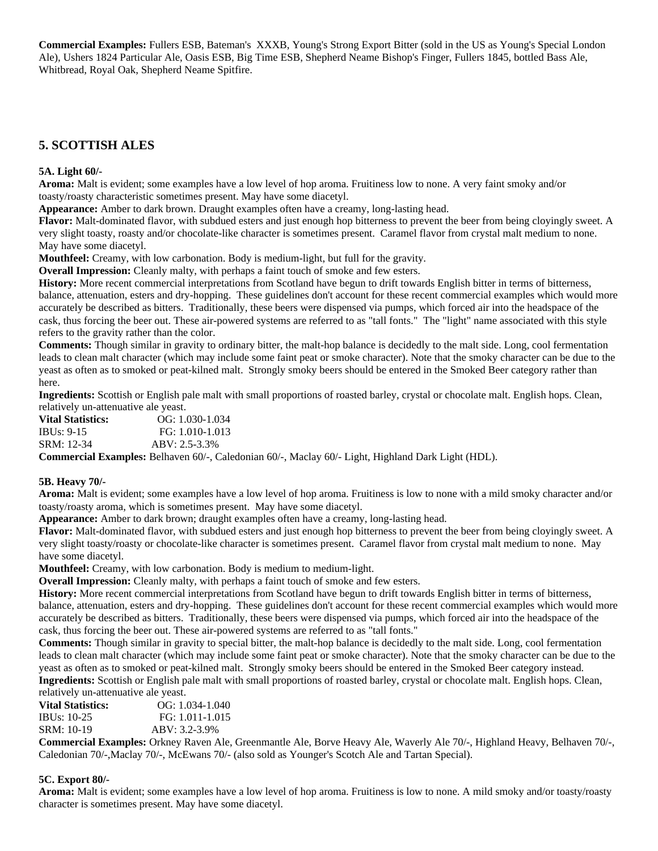**Commercial Examples:** Fullers ESB, Bateman's XXXB, Young's Strong Export Bitter (sold in the US as Young's Special London Ale), Ushers 1824 Particular Ale, Oasis ESB, Big Time ESB, Shepherd Neame Bishop's Finger, Fullers 1845, bottled Bass Ale, Whitbread, Royal Oak, Shepherd Neame Spitfire.

### **5. SCOTTISH ALES**

#### **5A. Light 60/-**

**Aroma:** Malt is evident; some examples have a low level of hop aroma. Fruitiness low to none. A very faint smoky and/or toasty/roasty characteristic sometimes present. May have some diacetyl.

**Appearance:** Amber to dark brown. Draught examples often have a creamy, long-lasting head.

**Flavor:** Malt-dominated flavor, with subdued esters and just enough hop bitterness to prevent the beer from being cloyingly sweet. A very slight toasty, roasty and/or chocolate-like character is sometimes present. Caramel flavor from crystal malt medium to none. May have some diacetyl.

**Mouthfeel:** Creamy, with low carbonation. Body is medium-light, but full for the gravity.

**Overall Impression:** Cleanly malty, with perhaps a faint touch of smoke and few esters.

**History:** More recent commercial interpretations from Scotland have begun to drift towards English bitter in terms of bitterness, balance, attenuation, esters and dry-hopping. These guidelines don't account for these recent commercial examples which would more accurately be described as bitters. Traditionally, these beers were dispensed via pumps, which forced air into the headspace of the cask, thus forcing the beer out. These air-powered systems are referred to as "tall fonts." The "light" name associated with this style refers to the gravity rather than the color.

**Comments:** Though similar in gravity to ordinary bitter, the malt-hop balance is decidedly to the malt side. Long, cool fermentation leads to clean malt character (which may include some faint peat or smoke character). Note that the smoky character can be due to the yeast as often as to smoked or peat-kilned malt. Strongly smoky beers should be entered in the Smoked Beer category rather than here.

**Ingredients:** Scottish or English pale malt with small proportions of roasted barley, crystal or chocolate malt. English hops. Clean, relatively un-attenuative ale yeast.

**Vital Statistics:** OG: 1.030-1.034 IBUs: 9-15 FG: 1.010-1.013 SRM: 12-34 ABV: 2.5-3.3%

**Commercial Examples:** Belhaven 60/-, Caledonian 60/-, Maclay 60/- Light, Highland Dark Light (HDL).

#### **5B. Heavy 70/-**

**Aroma:** Malt is evident; some examples have a low level of hop aroma. Fruitiness is low to none with a mild smoky character and/or toasty/roasty aroma, which is sometimes present. May have some diacetyl.

**Appearance:** Amber to dark brown; draught examples often have a creamy, long-lasting head.

**Flavor:** Malt-dominated flavor, with subdued esters and just enough hop bitterness to prevent the beer from being cloyingly sweet. A very slight toasty/roasty or chocolate-like character is sometimes present. Caramel flavor from crystal malt medium to none. May have some diacetyl.

**Mouthfeel:** Creamy, with low carbonation. Body is medium to medium-light.

**Overall Impression:** Cleanly malty, with perhaps a faint touch of smoke and few esters.

**History:** More recent commercial interpretations from Scotland have begun to drift towards English bitter in terms of bitterness, balance, attenuation, esters and dry-hopping. These guidelines don't account for these recent commercial examples which would more accurately be described as bitters. Traditionally, these beers were dispensed via pumps, which forced air into the headspace of the cask, thus forcing the beer out. These air-powered systems are referred to as "tall fonts."

**Comments:** Though similar in gravity to special bitter, the malt-hop balance is decidedly to the malt side. Long, cool fermentation leads to clean malt character (which may include some faint peat or smoke character). Note that the smoky character can be due to the yeast as often as to smoked or peat-kilned malt. Strongly smoky beers should be entered in the Smoked Beer category instead. **Ingredients:** Scottish or English pale malt with small proportions of roasted barley, crystal or chocolate malt. English hops. Clean, relatively un-attenuative ale yeast.

**Vital Statistics:** OG: 1.034-1.040 IBUs: 10-25 FG: 1.011-1.015 SRM: 10-19 ABV: 3.2-3.9%

**Commercial Examples:** Orkney Raven Ale, Greenmantle Ale, Borve Heavy Ale, Waverly Ale 70/-, Highland Heavy, Belhaven 70/-, Caledonian 70/-,Maclay 70/-, McEwans 70/- (also sold as Younger's Scotch Ale and Tartan Special).

#### **5C. Export 80/-**

**Aroma:** Malt is evident; some examples have a low level of hop aroma. Fruitiness is low to none. A mild smoky and/or toasty/roasty character is sometimes present. May have some diacetyl.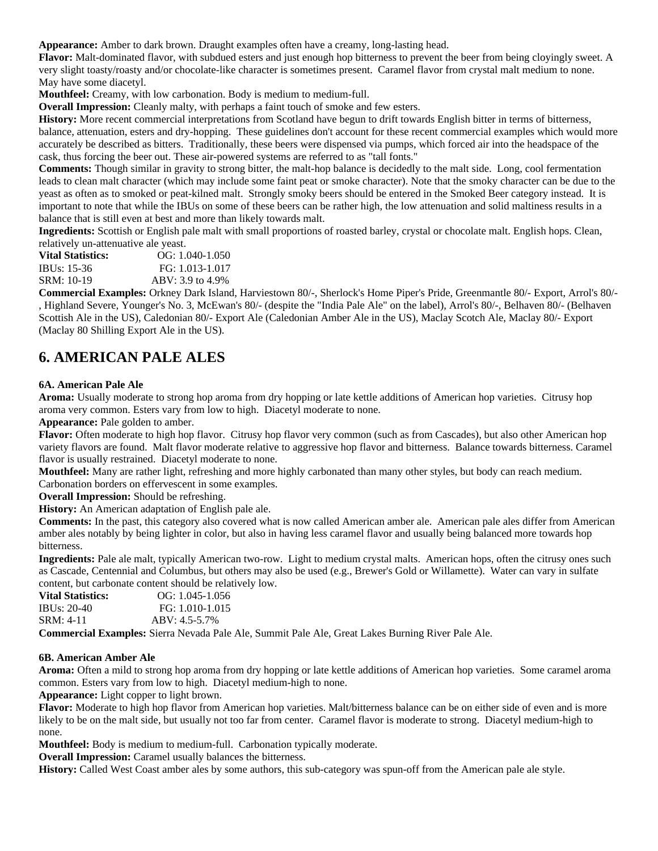**Appearance:** Amber to dark brown. Draught examples often have a creamy, long-lasting head.

**Flavor:** Malt-dominated flavor, with subdued esters and just enough hop bitterness to prevent the beer from being cloyingly sweet. A very slight toasty/roasty and/or chocolate-like character is sometimes present. Caramel flavor from crystal malt medium to none. May have some diacetyl.

**Mouthfeel:** Creamy, with low carbonation. Body is medium to medium-full.

**Overall Impression:** Cleanly malty, with perhaps a faint touch of smoke and few esters.

**History:** More recent commercial interpretations from Scotland have begun to drift towards English bitter in terms of bitterness, balance, attenuation, esters and dry-hopping. These guidelines don't account for these recent commercial examples which would more accurately be described as bitters. Traditionally, these beers were dispensed via pumps, which forced air into the headspace of the cask, thus forcing the beer out. These air-powered systems are referred to as "tall fonts."

**Comments:** Though similar in gravity to strong bitter, the malt-hop balance is decidedly to the malt side. Long, cool fermentation leads to clean malt character (which may include some faint peat or smoke character). Note that the smoky character can be due to the yeast as often as to smoked or peat-kilned malt. Strongly smoky beers should be entered in the Smoked Beer category instead. It is important to note that while the IBUs on some of these beers can be rather high, the low attenuation and solid maltiness results in a balance that is still even at best and more than likely towards malt.

**Ingredients:** Scottish or English pale malt with small proportions of roasted barley, crystal or chocolate malt. English hops. Clean, relatively un-attenuative ale yeast.

| $OG: 1.040-1.050$  |
|--------------------|
| FG: 1.013-1.017    |
| $ABV: 3.9$ to 4.9% |
|                    |

**Commercial Examples:** Orkney Dark Island, Harviestown 80/-, Sherlock's Home Piper's Pride, Greenmantle 80/- Export, Arrol's 80/- , Highland Severe, Younger's No. 3, McEwan's 80/- (despite the "India Pale Ale" on the label), Arrol's 80/-, Belhaven 80/- (Belhaven Scottish Ale in the US), Caledonian 80/- Export Ale (Caledonian Amber Ale in the US), Maclay Scotch Ale, Maclay 80/- Export (Maclay 80 Shilling Export Ale in the US).

### **6. AMERICAN PALE ALES**

#### **6A. American Pale Ale**

**Aroma:** Usually moderate to strong hop aroma from dry hopping or late kettle additions of American hop varieties. Citrusy hop aroma very common. Esters vary from low to high. Diacetyl moderate to none.

**Appearance:** Pale golden to amber.

**Flavor:** Often moderate to high hop flavor. Citrusy hop flavor very common (such as from Cascades), but also other American hop variety flavors are found. Malt flavor moderate relative to aggressive hop flavor and bitterness. Balance towards bitterness. Caramel flavor is usually restrained. Diacetyl moderate to none.

**Mouthfeel:** Many are rather light, refreshing and more highly carbonated than many other styles, but body can reach medium. Carbonation borders on effervescent in some examples.

**Overall Impression:** Should be refreshing.

**History:** An American adaptation of English pale ale.

**Comments:** In the past, this category also covered what is now called American amber ale. American pale ales differ from American amber ales notably by being lighter in color, but also in having less caramel flavor and usually being balanced more towards hop bitterness.

**Ingredients:** Pale ale malt, typically American two-row. Light to medium crystal malts. American hops, often the citrusy ones such as Cascade, Centennial and Columbus, but others may also be used (e.g., Brewer's Gold or Willamette). Water can vary in sulfate content, but carbonate content should be relatively low.

| <b>Vital Statistics:</b> | $OG: 1.045 - 1.056$ |
|--------------------------|---------------------|
| IBUs: $20-40$            | FG: 1.010-1.015     |
| $SRM: 4-11$              | $ABV: 4.5-5.7\%$    |

**Commercial Examples:** Sierra Nevada Pale Ale, Summit Pale Ale, Great Lakes Burning River Pale Ale.

#### **6B. American Amber Ale**

**Aroma:** Often a mild to strong hop aroma from dry hopping or late kettle additions of American hop varieties. Some caramel aroma common. Esters vary from low to high. Diacetyl medium-high to none.

**Appearance:** Light copper to light brown.

**Flavor:** Moderate to high hop flavor from American hop varieties. Malt/bitterness balance can be on either side of even and is more likely to be on the malt side, but usually not too far from center. Caramel flavor is moderate to strong. Diacetyl medium-high to none.

**Mouthfeel:** Body is medium to medium-full. Carbonation typically moderate.

**Overall Impression:** Caramel usually balances the bitterness.

**History:** Called West Coast amber ales by some authors, this sub-category was spun-off from the American pale ale style.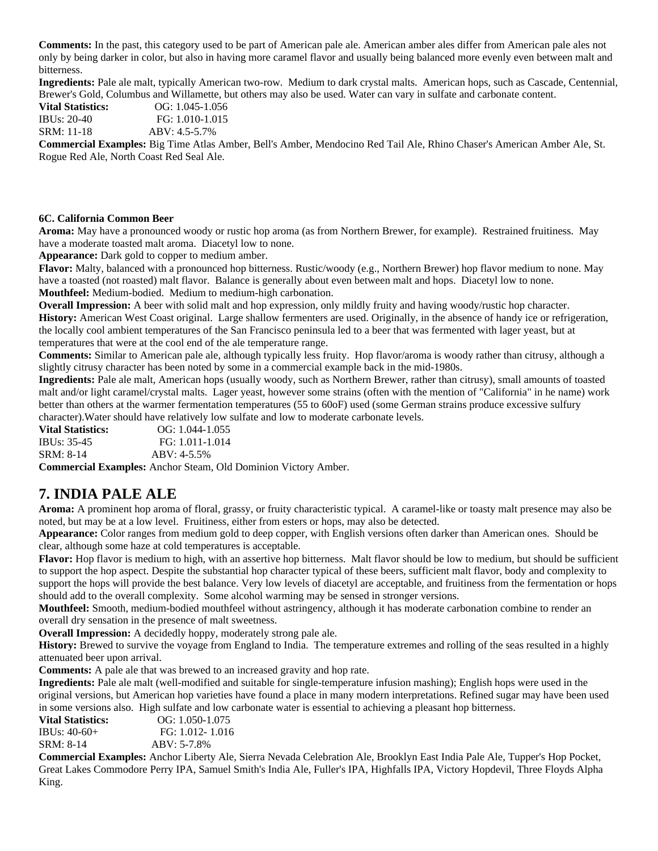**Comments:** In the past, this category used to be part of American pale ale. American amber ales differ from American pale ales not only by being darker in color, but also in having more caramel flavor and usually being balanced more evenly even between malt and bitterness.

**Ingredients:** Pale ale malt, typically American two-row. Medium to dark crystal malts. American hops, such as Cascade, Centennial, Brewer's Gold, Columbus and Willamette, but others may also be used. Water can vary in sulfate and carbonate content.

**Vital Statistics:** OG: 1.045-1.056 IBUs: 20-40 FG: 1.010-1.015

SRM: 11-18 ABV: 4.5-5.7%

**Commercial Examples:** Big Time Atlas Amber, Bell's Amber, Mendocino Red Tail Ale, Rhino Chaser's American Amber Ale, St. Rogue Red Ale, North Coast Red Seal Ale.

#### **6C. California Common Beer**

**Aroma:** May have a pronounced woody or rustic hop aroma (as from Northern Brewer, for example). Restrained fruitiness. May have a moderate toasted malt aroma. Diacetyl low to none.

**Appearance:** Dark gold to copper to medium amber.

**Flavor:** Malty, balanced with a pronounced hop bitterness. Rustic/woody (e.g., Northern Brewer) hop flavor medium to none. May have a toasted (not roasted) malt flavor. Balance is generally about even between malt and hops. Diacetyl low to none. **Mouthfeel:** Medium-bodied. Medium to medium-high carbonation.

**Overall Impression:** A beer with solid malt and hop expression, only mildly fruity and having woody/rustic hop character.

**History:** American West Coast original. Large shallow fermenters are used. Originally, in the absence of handy ice or refrigeration, the locally cool ambient temperatures of the San Francisco peninsula led to a beer that was fermented with lager yeast, but at temperatures that were at the cool end of the ale temperature range.

**Comments:** Similar to American pale ale, although typically less fruity. Hop flavor/aroma is woody rather than citrusy, although a slightly citrusy character has been noted by some in a commercial example back in the mid-1980s.

**Ingredients:** Pale ale malt, American hops (usually woody, such as Northern Brewer, rather than citrusy), small amounts of toasted malt and/or light caramel/crystal malts. Lager yeast, however some strains (often with the mention of "California" in he name) work better than others at the warmer fermentation temperatures (55 to 60oF) used (some German strains produce excessive sulfury character).Water should have relatively low sulfate and low to moderate carbonate levels.

**Vital Statistics:** OG: 1.044-1.055 IBUs: 35-45 FG: 1.011-1.014 SRM: 8-14 ABV: 4-5.5%

**Commercial Examples:** Anchor Steam, Old Dominion Victory Amber.

### **7. INDIA PALE ALE**

**Aroma:** A prominent hop aroma of floral, grassy, or fruity characteristic typical. A caramel-like or toasty malt presence may also be noted, but may be at a low level. Fruitiness, either from esters or hops, may also be detected.

**Appearance:** Color ranges from medium gold to deep copper, with English versions often darker than American ones. Should be clear, although some haze at cold temperatures is acceptable.

**Flavor:** Hop flavor is medium to high, with an assertive hop bitterness. Malt flavor should be low to medium, but should be sufficient to support the hop aspect. Despite the substantial hop character typical of these beers, sufficient malt flavor, body and complexity to support the hops will provide the best balance. Very low levels of diacetyl are acceptable, and fruitiness from the fermentation or hops should add to the overall complexity. Some alcohol warming may be sensed in stronger versions.

**Mouthfeel:** Smooth, medium-bodied mouthfeel without astringency, although it has moderate carbonation combine to render an overall dry sensation in the presence of malt sweetness.

**Overall Impression:** A decidedly hoppy, moderately strong pale ale.

**History:** Brewed to survive the voyage from England to India. The temperature extremes and rolling of the seas resulted in a highly attenuated beer upon arrival.

**Comments:** A pale ale that was brewed to an increased gravity and hop rate.

**Ingredients:** Pale ale malt (well-modified and suitable for single-temperature infusion mashing); English hops were used in the original versions, but American hop varieties have found a place in many modern interpretations. Refined sugar may have been used in some versions also. High sulfate and low carbonate water is essential to achieving a pleasant hop bitterness.

| Vital Statistics: | $OG: 1.050-1.075$ |
|-------------------|-------------------|
| IBUs: 40-60+      | FG: 1.012-1.016   |
| SRM: 8-14         | $ABV: 5-7.8%$     |

**Commercial Examples:** Anchor Liberty Ale, Sierra Nevada Celebration Ale, Brooklyn East India Pale Ale, Tupper's Hop Pocket, Great Lakes Commodore Perry IPA, Samuel Smith's India Ale, Fuller's IPA, Highfalls IPA, Victory Hopdevil, Three Floyds Alpha King.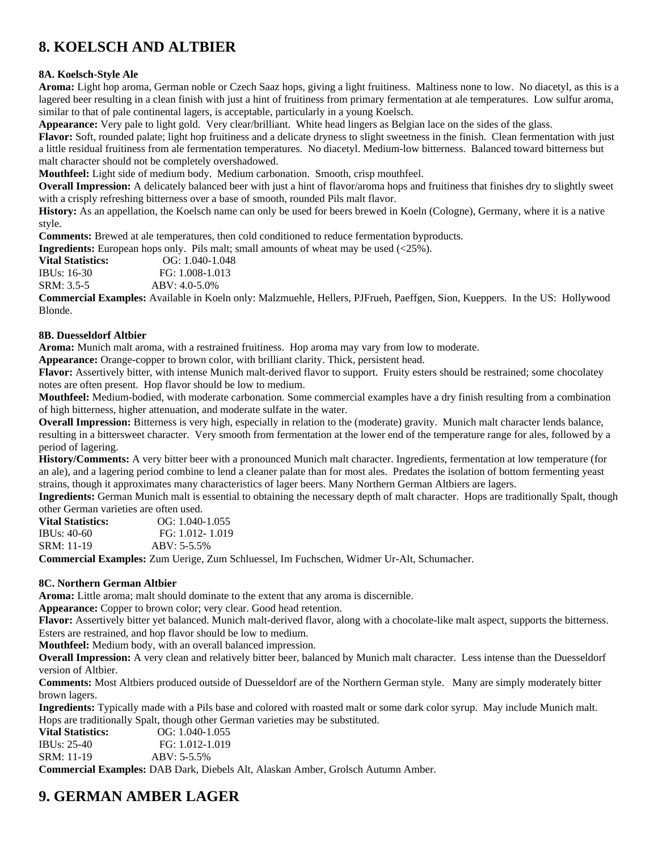# **8. KOELSCH AND ALTBIER**

### **8A. Koelsch-Style Ale**

**Aroma:** Light hop aroma, German noble or Czech Saaz hops, giving a light fruitiness. Maltiness none to low. No diacetyl, as this is a lagered beer resulting in a clean finish with just a hint of fruitiness from primary fermentation at ale temperatures. Low sulfur aroma, similar to that of pale continental lagers, is acceptable, particularly in a young Koelsch.

**Appearance:** Very pale to light gold. Very clear/brilliant. White head lingers as Belgian lace on the sides of the glass.

**Flavor:** Soft, rounded palate; light hop fruitiness and a delicate dryness to slight sweetness in the finish. Clean fermentation with just a little residual fruitiness from ale fermentation temperatures. No diacetyl. Medium-low bitterness. Balanced toward bitterness but malt character should not be completely overshadowed.

**Mouthfeel:** Light side of medium body. Medium carbonation. Smooth, crisp mouthfeel.

**Overall Impression:** A delicately balanced beer with just a hint of flavor/aroma hops and fruitiness that finishes dry to slightly sweet with a crisply refreshing bitterness over a base of smooth, rounded Pils malt flavor.

**History:** As an appellation, the Koelsch name can only be used for beers brewed in Koeln (Cologne), Germany, where it is a native style.

**Comments:** Brewed at ale temperatures, then cold conditioned to reduce fermentation byproducts.

**Ingredients:** European hops only. Pils malt; small amounts of wheat may be used (<25%).

**Vital Statistics:** OG: 1.040-1.048 IBUs: 16-30 FG: 1.008-1.013 SRM: 3.5-5 ABV: 4.0-5.0%

**Commercial Examples:** Available in Koeln only: Malzmuehle, Hellers, PJFrueh, Paeffgen, Sion, Kueppers. In the US: Hollywood Blonde.

### **8B. Duesseldorf Altbier**

**Aroma:** Munich malt aroma, with a restrained fruitiness. Hop aroma may vary from low to moderate.

**Appearance:** Orange-copper to brown color, with brilliant clarity. Thick, persistent head.

Flavor: Assertively bitter, with intense Munich malt-derived flavor to support. Fruity esters should be restrained; some chocolatey notes are often present. Hop flavor should be low to medium.

**Mouthfeel:** Medium-bodied, with moderate carbonation. Some commercial examples have a dry finish resulting from a combination of high bitterness, higher attenuation, and moderate sulfate in the water.

**Overall Impression:** Bitterness is very high, especially in relation to the (moderate) gravity. Munich malt character lends balance, resulting in a bittersweet character. Very smooth from fermentation at the lower end of the temperature range for ales, followed by a period of lagering.

**History/Comments:** A very bitter beer with a pronounced Munich malt character. Ingredients, fermentation at low temperature (for an ale), and a lagering period combine to lend a cleaner palate than for most ales. Predates the isolation of bottom fermenting yeast strains, though it approximates many characteristics of lager beers. Many Northern German Altbiers are lagers.

**Ingredients:** German Munich malt is essential to obtaining the necessary depth of malt character. Hops are traditionally Spalt, though other German varieties are often used.

| <b>Vital Statistics:</b> | $OG: 1.040-1.055$                   |
|--------------------------|-------------------------------------|
| IBUs: 40-60              | FG: 1.012-1.019                     |
| SRM: 11-19               | $ABV: 5-5.5\%$                      |
|                          | $\alpha$ $\cdots$ $\alpha$ $\alpha$ |

**Commercial Examples:** Zum Uerige, Zum Schluessel, Im Fuchschen, Widmer Ur-Alt, Schumacher.

### **8C. Northern German Altbier**

**Aroma:** Little aroma; malt should dominate to the extent that any aroma is discernible.

**Appearance:** Copper to brown color; very clear. Good head retention.

**Flavor:** Assertively bitter yet balanced. Munich malt-derived flavor, along with a chocolate-like malt aspect, supports the bitterness. Esters are restrained, and hop flavor should be low to medium.

**Mouthfeel:** Medium body, with an overall balanced impression.

**Overall Impression:** A very clean and relatively bitter beer, balanced by Munich malt character. Less intense than the Duesseldorf version of Altbier.

**Comments:** Most Altbiers produced outside of Duesseldorf are of the Northern German style. Many are simply moderately bitter brown lagers.

**Ingredients:** Typically made with a Pils base and colored with roasted malt or some dark color syrup. May include Munich malt. Hops are traditionally Spalt, though other German varieties may be substituted.

**Vital Statistics:** OG: 1.040-1.055

IBUs: 25-40 FG: 1.012-1.019

SRM: 11-19 ABV: 5-5.5%

**Commercial Examples:** DAB Dark, Diebels Alt, Alaskan Amber, Grolsch Autumn Amber.

# **9. GERMAN AMBER LAGER**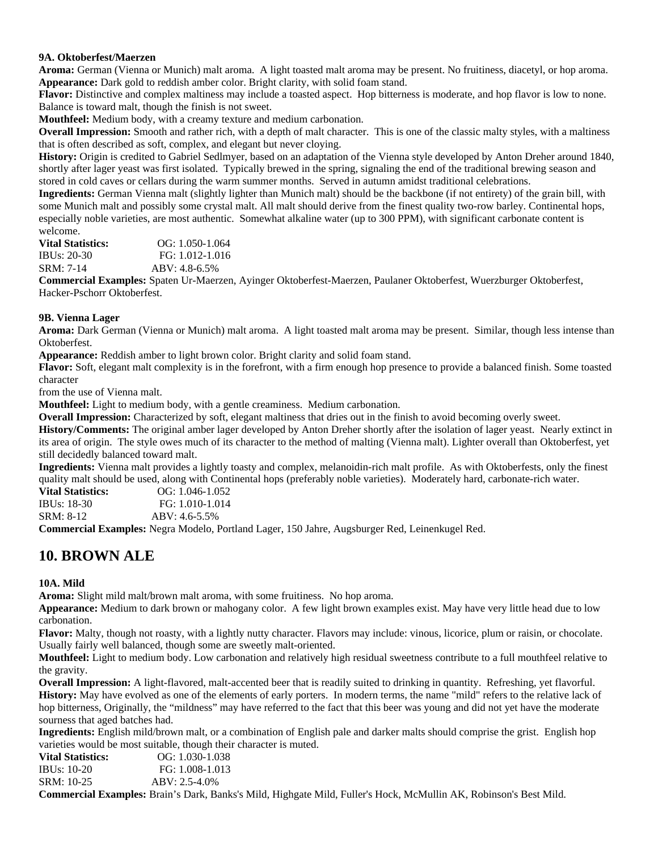#### **9A. Oktoberfest/Maerzen**

**Aroma:** German (Vienna or Munich) malt aroma. A light toasted malt aroma may be present. No fruitiness, diacetyl, or hop aroma. **Appearance:** Dark gold to reddish amber color. Bright clarity, with solid foam stand.

**Flavor:** Distinctive and complex maltiness may include a toasted aspect. Hop bitterness is moderate, and hop flavor is low to none. Balance is toward malt, though the finish is not sweet.

**Mouthfeel:** Medium body, with a creamy texture and medium carbonation.

**Overall Impression:** Smooth and rather rich, with a depth of malt character. This is one of the classic malty styles, with a maltiness that is often described as soft, complex, and elegant but never cloying.

**History:** Origin is credited to Gabriel Sedlmyer, based on an adaptation of the Vienna style developed by Anton Dreher around 1840, shortly after lager yeast was first isolated. Typically brewed in the spring, signaling the end of the traditional brewing season and stored in cold caves or cellars during the warm summer months. Served in autumn amidst traditional celebrations.

**Ingredients:** German Vienna malt (slightly lighter than Munich malt) should be the backbone (if not entirety) of the grain bill, with some Munich malt and possibly some crystal malt. All malt should derive from the finest quality two-row barley. Continental hops, especially noble varieties, are most authentic. Somewhat alkaline water (up to 300 PPM), with significant carbonate content is

welcome.<br>Vital Statistics: **Vital Statistics:** OG: 1.050-1.064 IBUs: 20-30 FG: 1.012-1.016 SRM: 7-14 ABV: 4.8-6.5%

**Commercial Examples:** Spaten Ur-Maerzen, Ayinger Oktoberfest-Maerzen, Paulaner Oktoberfest, Wuerzburger Oktoberfest, Hacker-Pschorr Oktoberfest.

#### **9B. Vienna Lager**

**Aroma:** Dark German (Vienna or Munich) malt aroma. A light toasted malt aroma may be present. Similar, though less intense than Oktoberfest.

**Appearance:** Reddish amber to light brown color. Bright clarity and solid foam stand.

**Flavor:** Soft, elegant malt complexity is in the forefront, with a firm enough hop presence to provide a balanced finish. Some toasted character

from the use of Vienna malt.

**Mouthfeel:** Light to medium body, with a gentle creaminess. Medium carbonation.

**Overall Impression:** Characterized by soft, elegant maltiness that dries out in the finish to avoid becoming overly sweet.

**History/Comments:** The original amber lager developed by Anton Dreher shortly after the isolation of lager yeast. Nearly extinct in its area of origin. The style owes much of its character to the method of malting (Vienna malt). Lighter overall than Oktoberfest, yet still decidedly balanced toward malt.

**Ingredients:** Vienna malt provides a lightly toasty and complex, melanoidin-rich malt profile. As with Oktoberfests, only the finest quality malt should be used, along with Continental hops (preferably noble varieties). Moderately hard, carbonate-rich water.

**Vital Statistics:** OG: 1.046-1.052 IBUs: 18-30 FG: 1.010-1.014 SRM: 8-12 ABV: 4.6-5.5%

**Commercial Examples:** Negra Modelo, Portland Lager, 150 Jahre, Augsburger Red, Leinenkugel Red.

### **10. BROWN ALE**

#### **10A. Mild**

**Aroma:** Slight mild malt/brown malt aroma, with some fruitiness. No hop aroma.

**Appearance:** Medium to dark brown or mahogany color. A few light brown examples exist. May have very little head due to low carbonation.

**Flavor:** Malty, though not roasty, with a lightly nutty character. Flavors may include: vinous, licorice, plum or raisin, or chocolate. Usually fairly well balanced, though some are sweetly malt-oriented.

**Mouthfeel:** Light to medium body. Low carbonation and relatively high residual sweetness contribute to a full mouthfeel relative to the gravity.

**Overall Impression:** A light-flavored, malt-accented beer that is readily suited to drinking in quantity. Refreshing, yet flavorful.

**History:** May have evolved as one of the elements of early porters. In modern terms, the name "mild" refers to the relative lack of hop bitterness, Originally, the "mildness" may have referred to the fact that this beer was young and did not yet have the moderate sourness that aged batches had.

**Ingredients:** English mild/brown malt, or a combination of English pale and darker malts should comprise the grist. English hop varieties would be most suitable, though their character is muted.

| Vital Statistics: | $OG: 1.030-1.038$ |
|-------------------|-------------------|
| IBUs: 10-20       | FG: 1.008-1.013   |
| SRM: 10-25        | $ABV: 2.5-4.0\%$  |

**Commercial Examples:** Brain's Dark, Banks's Mild, Highgate Mild, Fuller's Hock, McMullin AK, Robinson's Best Mild.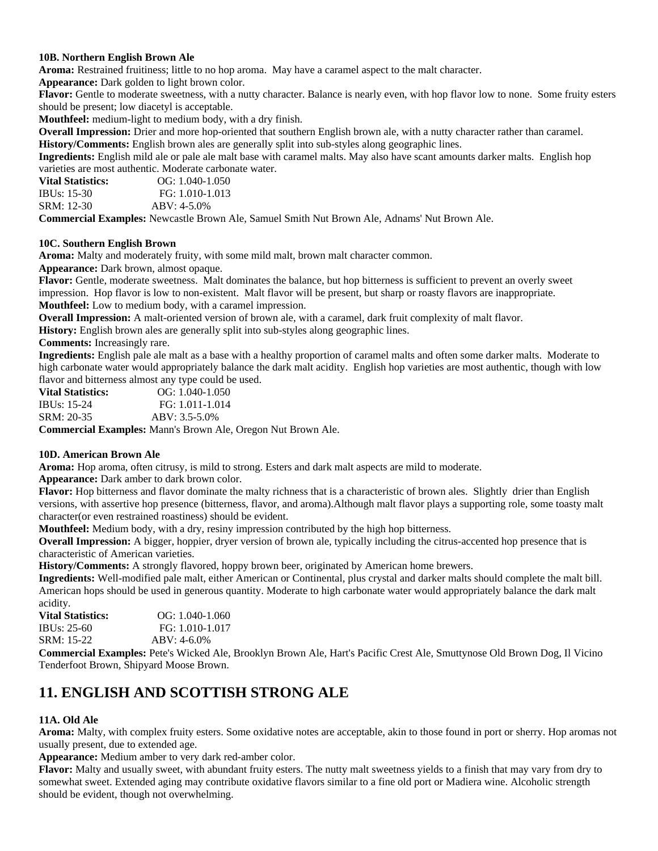#### **10B. Northern English Brown Ale**

**Aroma:** Restrained fruitiness; little to no hop aroma. May have a caramel aspect to the malt character.

**Appearance:** Dark golden to light brown color.

**Flavor:** Gentle to moderate sweetness, with a nutty character. Balance is nearly even, with hop flavor low to none. Some fruity esters should be present; low diacetyl is acceptable.

**Mouthfeel:** medium-light to medium body, with a dry finish.

**Overall Impression:** Drier and more hop-oriented that southern English brown ale, with a nutty character rather than caramel. **History/Comments:** English brown ales are generally split into sub-styles along geographic lines.

**Ingredients:** English mild ale or pale ale malt base with caramel malts. May also have scant amounts darker malts. English hop varieties are most authentic. Moderate carbonate water.

| <b>Vital Statistics:</b> | $OG: 1.040-1.050$ |
|--------------------------|-------------------|
| IBUs: 15-30              | FG: 1.010-1.013   |
| SRM: 12-30               | $ABV: 4-5.0\%$    |

**Commercial Examples:** Newcastle Brown Ale, Samuel Smith Nut Brown Ale, Adnams' Nut Brown Ale.

#### **10C. Southern English Brown**

**Aroma:** Malty and moderately fruity, with some mild malt, brown malt character common.

**Appearance:** Dark brown, almost opaque.

**Flavor:** Gentle, moderate sweetness. Malt dominates the balance, but hop bitterness is sufficient to prevent an overly sweet impression. Hop flavor is low to non-existent. Malt flavor will be present, but sharp or roasty flavors are inappropriate. **Mouthfeel:** Low to medium body, with a caramel impression.

**Overall Impression:** A malt-oriented version of brown ale, with a caramel, dark fruit complexity of malt flavor.

**History:** English brown ales are generally split into sub-styles along geographic lines.

**Comments:** Increasingly rare.

**Ingredients:** English pale ale malt as a base with a healthy proportion of caramel malts and often some darker malts. Moderate to high carbonate water would appropriately balance the dark malt acidity. English hop varieties are most authentic, though with low flavor and bitterness almost any type could be used.

| <b>Vital Statistics:</b> | $OG: 1.040-1.050$ |
|--------------------------|-------------------|
| IBUs: 15-24              | FG: 1.011-1.014   |
| SRM: 20-35               | $ABV: 3.5-5.0\%$  |
|                          |                   |

**Commercial Examples:** Mann's Brown Ale, Oregon Nut Brown Ale.

### **10D. American Brown Ale**

**Aroma:** Hop aroma, often citrusy, is mild to strong. Esters and dark malt aspects are mild to moderate.

**Appearance:** Dark amber to dark brown color.

**Flavor:** Hop bitterness and flavor dominate the malty richness that is a characteristic of brown ales. Slightly drier than English versions, with assertive hop presence (bitterness, flavor, and aroma).Although malt flavor plays a supporting role, some toasty malt character(or even restrained roastiness) should be evident.

**Mouthfeel:** Medium body, with a dry, resiny impression contributed by the high hop bitterness.

**Overall Impression:** A bigger, hoppier, dryer version of brown ale, typically including the citrus-accented hop presence that is characteristic of American varieties.

**History/Comments:** A strongly flavored, hoppy brown beer, originated by American home brewers.

**Ingredients:** Well-modified pale malt, either American or Continental, plus crystal and darker malts should complete the malt bill. American hops should be used in generous quantity. Moderate to high carbonate water would appropriately balance the dark malt acidity.

| Vital Statistics: | $OG: 1.040-1.060$ |
|-------------------|-------------------|
| IBUs: 25-60       | FG: 1.010-1.017   |
| SRM: 15-22        | $ABV: 4-6.0\%$    |

**Commercial Examples:** Pete's Wicked Ale, Brooklyn Brown Ale, Hart's Pacific Crest Ale, Smuttynose Old Brown Dog, Il Vicino Tenderfoot Brown, Shipyard Moose Brown.

# **11. ENGLISH AND SCOTTISH STRONG ALE**

#### **11A. Old Ale**

**Aroma:** Malty, with complex fruity esters. Some oxidative notes are acceptable, akin to those found in port or sherry. Hop aromas not usually present, due to extended age.

**Appearance:** Medium amber to very dark red-amber color.

**Flavor:** Malty and usually sweet, with abundant fruity esters. The nutty malt sweetness yields to a finish that may vary from dry to somewhat sweet. Extended aging may contribute oxidative flavors similar to a fine old port or Madiera wine. Alcoholic strength should be evident, though not overwhelming.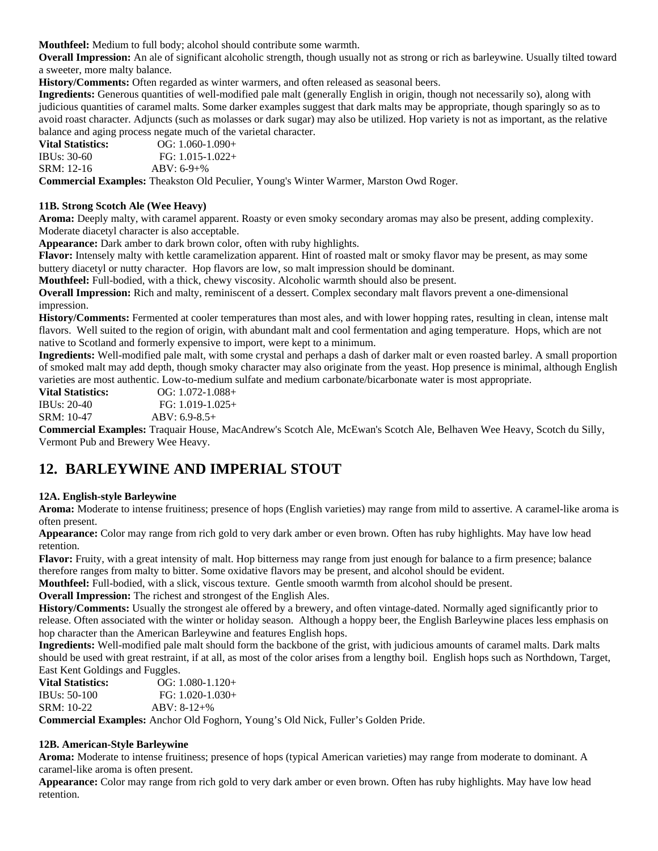**Mouthfeel:** Medium to full body; alcohol should contribute some warmth.

**Overall Impression:** An ale of significant alcoholic strength, though usually not as strong or rich as barleywine. Usually tilted toward a sweeter, more malty balance.

**History/Comments:** Often regarded as winter warmers, and often released as seasonal beers.

**Ingredients:** Generous quantities of well-modified pale malt (generally English in origin, though not necessarily so), along with judicious quantities of caramel malts. Some darker examples suggest that dark malts may be appropriate, though sparingly so as to avoid roast character. Adjuncts (such as molasses or dark sugar) may also be utilized. Hop variety is not as important, as the relative balance and aging process negate much of the varietal character.

| <b>Vital Statistics:</b> | $OG: 1.060-1.090+$ |  |  |
|--------------------------|--------------------|--|--|
| IBUs: $30-60$            | $FG: 1.015-1.022+$ |  |  |
| SRM: 12-16               | $ABV: 6-9+%$       |  |  |

**Commercial Examples:** Theakston Old Peculier, Young's Winter Warmer, Marston Owd Roger.

#### **11B. Strong Scotch Ale (Wee Heavy)**

**Aroma:** Deeply malty, with caramel apparent. Roasty or even smoky secondary aromas may also be present, adding complexity. Moderate diacetyl character is also acceptable.

**Appearance:** Dark amber to dark brown color, often with ruby highlights.

**Flavor:** Intensely malty with kettle caramelization apparent. Hint of roasted malt or smoky flavor may be present, as may some buttery diacetyl or nutty character. Hop flavors are low, so malt impression should be dominant.

**Mouthfeel:** Full-bodied, with a thick, chewy viscosity. Alcoholic warmth should also be present.

**Overall Impression:** Rich and malty, reminiscent of a dessert. Complex secondary malt flavors prevent a one-dimensional impression.

**History/Comments:** Fermented at cooler temperatures than most ales, and with lower hopping rates, resulting in clean, intense malt flavors. Well suited to the region of origin, with abundant malt and cool fermentation and aging temperature. Hops, which are not native to Scotland and formerly expensive to import, were kept to a minimum.

**Ingredients:** Well-modified pale malt, with some crystal and perhaps a dash of darker malt or even roasted barley. A small proportion of smoked malt may add depth, though smoky character may also originate from the yeast. Hop presence is minimal, although English varieties are most authentic. Low-to-medium sulfate and medium carbonate/bicarbonate water is most appropriate.

**Vital Statistics:** OG: 1.072-1.088+ IBUs: 20-40 FG: 1.019-1.025+ SRM: 10-47 ABV: 6.9-8.5+

**Commercial Examples:** Traquair House, MacAndrew's Scotch Ale, McEwan's Scotch Ale, Belhaven Wee Heavy, Scotch du Silly, Vermont Pub and Brewery Wee Heavy.

# **12. BARLEYWINE AND IMPERIAL STOUT**

#### **12A. English-style Barleywine**

**Aroma:** Moderate to intense fruitiness; presence of hops (English varieties) may range from mild to assertive. A caramel-like aroma is often present.

**Appearance:** Color may range from rich gold to very dark amber or even brown. Often has ruby highlights. May have low head retention.

**Flavor:** Fruity, with a great intensity of malt. Hop bitterness may range from just enough for balance to a firm presence; balance therefore ranges from malty to bitter. Some oxidative flavors may be present, and alcohol should be evident.

**Mouthfeel:** Full-bodied, with a slick, viscous texture. Gentle smooth warmth from alcohol should be present.

**Overall Impression:** The richest and strongest of the English Ales.

**History/Comments:** Usually the strongest ale offered by a brewery, and often vintage-dated. Normally aged significantly prior to release. Often associated with the winter or holiday season. Although a hoppy beer, the English Barleywine places less emphasis on hop character than the American Barleywine and features English hops.

**Ingredients:** Well-modified pale malt should form the backbone of the grist, with judicious amounts of caramel malts. Dark malts should be used with great restraint, if at all, as most of the color arises from a lengthy boil. English hops such as Northdown, Target, East Kent Goldings and Fuggles.

| <b>Vital Statistics:</b>                 | $OG: 1.080-1.120+$                          |
|------------------------------------------|---------------------------------------------|
| IBUs: 50-100                             | $FG: 1.020-1.030+$                          |
| SRM: 10-22                               | $ABV: 8-12+%$                               |
| $\sim$ $\sim$<br>$\cdot$ $\cdot$ $\cdot$ | $\sqrt{1}$ $\sqrt{1}$ $\sqrt{1}$ $\sqrt{1}$ |

**Commercial Examples:** Anchor Old Foghorn, Young's Old Nick, Fuller's Golden Pride.

#### **12B. American-Style Barleywine**

**Aroma:** Moderate to intense fruitiness; presence of hops (typical American varieties) may range from moderate to dominant. A caramel-like aroma is often present.

**Appearance:** Color may range from rich gold to very dark amber or even brown. Often has ruby highlights. May have low head retention.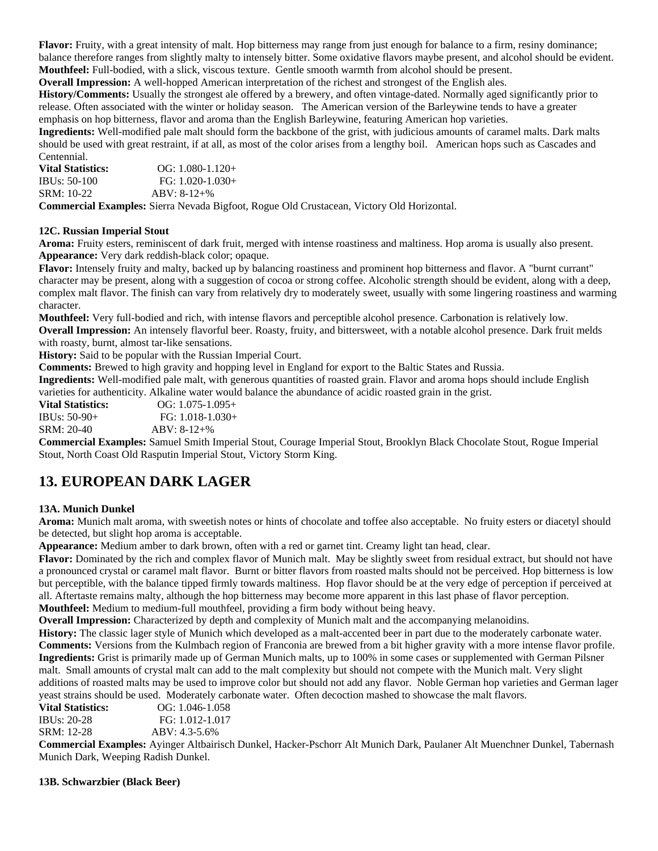**Flavor:** Fruity, with a great intensity of malt. Hop bitterness may range from just enough for balance to a firm, resiny dominance; balance therefore ranges from slightly malty to intensely bitter. Some oxidative flavors maybe present, and alcohol should be evident. **Mouthfeel:** Full-bodied, with a slick, viscous texture. Gentle smooth warmth from alcohol should be present.

**Overall Impression:** A well-hopped American interpretation of the richest and strongest of the English ales.

**History/Comments:** Usually the strongest ale offered by a brewery, and often vintage-dated. Normally aged significantly prior to release. Often associated with the winter or holiday season. The American version of the Barleywine tends to have a greater emphasis on hop bitterness, flavor and aroma than the English Barleywine, featuring American hop varieties.

**Ingredients:** Well-modified pale malt should form the backbone of the grist, with judicious amounts of caramel malts. Dark malts should be used with great restraint, if at all, as most of the color arises from a lengthy boil. American hops such as Cascades and Centennial.

| <b>Vital Statistics:</b> | $OG: 1.080-1.120+$ |
|--------------------------|--------------------|
| IBUs: 50-100             | $FG: 1.020-1.030+$ |
| SRM: 10-22               | $ABV: 8-12+%$      |

**Commercial Examples:** Sierra Nevada Bigfoot, Rogue Old Crustacean, Victory Old Horizontal.

### **12C. Russian Imperial Stout**

**Aroma:** Fruity esters, reminiscent of dark fruit, merged with intense roastiness and maltiness. Hop aroma is usually also present. **Appearance:** Very dark reddish-black color; opaque.

**Flavor:** Intensely fruity and malty, backed up by balancing roastiness and prominent hop bitterness and flavor. A "burnt currant" character may be present, along with a suggestion of cocoa or strong coffee. Alcoholic strength should be evident, along with a deep, complex malt flavor. The finish can vary from relatively dry to moderately sweet, usually with some lingering roastiness and warming character.

**Mouthfeel:** Very full-bodied and rich, with intense flavors and perceptible alcohol presence. Carbonation is relatively low. **Overall Impression:** An intensely flavorful beer. Roasty, fruity, and bittersweet, with a notable alcohol presence. Dark fruit melds with roasty, burnt, almost tar-like sensations.

**History:** Said to be popular with the Russian Imperial Court.

**Comments:** Brewed to high gravity and hopping level in England for export to the Baltic States and Russia.

**Ingredients:** Well-modified pale malt, with generous quantities of roasted grain. Flavor and aroma hops should include English varieties for authenticity. Alkaline water would balance the abundance of acidic roasted grain in the grist.

**Vital Statistics:** OG: 1.075-1.095+ IBUs: 50-90+ FG: 1.018-1.030+ SRM: 20-40 ABV: 8-12+%

**Commercial Examples:** Samuel Smith Imperial Stout, Courage Imperial Stout, Brooklyn Black Chocolate Stout, Rogue Imperial Stout, North Coast Old Rasputin Imperial Stout, Victory Storm King.

# **13. EUROPEAN DARK LAGER**

#### **13A. Munich Dunkel**

**Aroma:** Munich malt aroma, with sweetish notes or hints of chocolate and toffee also acceptable. No fruity esters or diacetyl should be detected, but slight hop aroma is acceptable.

**Appearance:** Medium amber to dark brown, often with a red or garnet tint. Creamy light tan head, clear.

**Flavor:** Dominated by the rich and complex flavor of Munich malt. May be slightly sweet from residual extract, but should not have a pronounced crystal or caramel malt flavor. Burnt or bitter flavors from roasted malts should not be perceived. Hop bitterness is low but perceptible, with the balance tipped firmly towards maltiness. Hop flavor should be at the very edge of perception if perceived at all. Aftertaste remains malty, although the hop bitterness may become more apparent in this last phase of flavor perception. **Mouthfeel:** Medium to medium-full mouthfeel, providing a firm body without being heavy.

**Overall Impression:** Characterized by depth and complexity of Munich malt and the accompanying melanoidins.

**History:** The classic lager style of Munich which developed as a malt-accented beer in part due to the moderately carbonate water. **Comments:** Versions from the Kulmbach region of Franconia are brewed from a bit higher gravity with a more intense flavor profile. **Ingredients:** Grist is primarily made up of German Munich malts, up to 100% in some cases or supplemented with German Pilsner malt. Small amounts of crystal malt can add to the malt complexity but should not compete with the Munich malt. Very slight additions of roasted malts may be used to improve color but should not add any flavor. Noble German hop varieties and German lager yeast strains should be used. Moderately carbonate water. Often decoction mashed to showcase the malt flavors.

| Vital Statistics: | $OG: 1.046-1.058$ |
|-------------------|-------------------|
| IBUs: 20-28       | FG: 1.012-1.017   |
| SRM: 12-28        | $ABV: 4.3-5.6%$   |
|                   |                   |

**Commercial Examples:** Ayinger Altbairisch Dunkel, Hacker-Pschorr Alt Munich Dark, Paulaner Alt Muenchner Dunkel, Tabernash Munich Dark, Weeping Radish Dunkel.

**13B. Schwarzbier (Black Beer)**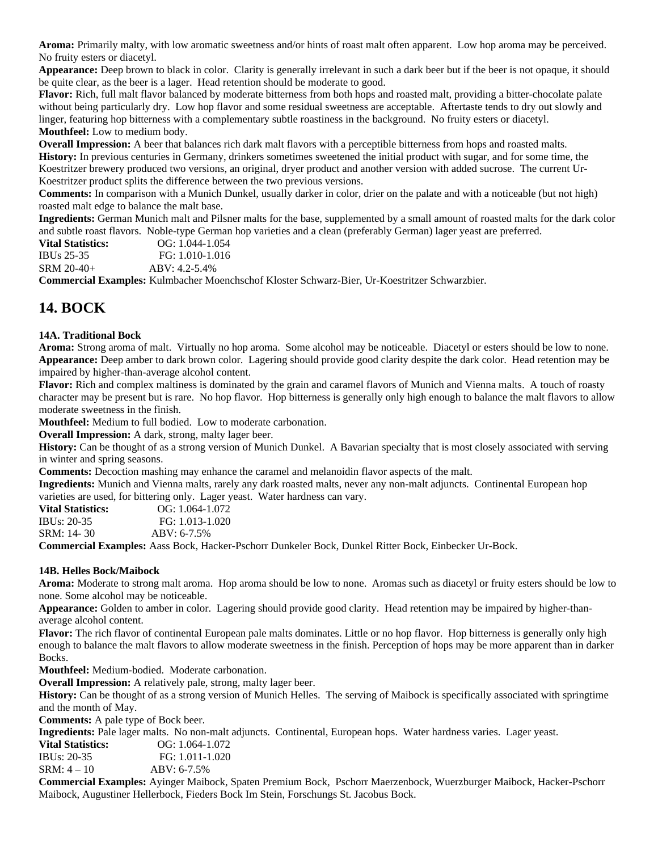**Aroma:** Primarily malty, with low aromatic sweetness and/or hints of roast malt often apparent. Low hop aroma may be perceived. No fruity esters or diacetyl.

**Appearance:** Deep brown to black in color. Clarity is generally irrelevant in such a dark beer but if the beer is not opaque, it should be quite clear, as the beer is a lager. Head retention should be moderate to good.

**Flavor:** Rich, full malt flavor balanced by moderate bitterness from both hops and roasted malt, providing a bitter-chocolate palate without being particularly dry. Low hop flavor and some residual sweetness are acceptable. Aftertaste tends to dry out slowly and linger, featuring hop bitterness with a complementary subtle roastiness in the background. No fruity esters or diacetyl. **Mouthfeel:** Low to medium body.

**Overall Impression:** A beer that balances rich dark malt flavors with a perceptible bitterness from hops and roasted malts. **History:** In previous centuries in Germany, drinkers sometimes sweetened the initial product with sugar, and for some time, the Koestritzer brewery produced two versions, an original, dryer product and another version with added sucrose. The current Ur-Koestritzer product splits the difference between the two previous versions.

**Comments:** In comparison with a Munich Dunkel, usually darker in color, drier on the palate and with a noticeable (but not high) roasted malt edge to balance the malt base.

**Ingredients:** German Munich malt and Pilsner malts for the base, supplemented by a small amount of roasted malts for the dark color and subtle roast flavors. Noble-type German hop varieties and a clean (preferably German) lager yeast are preferred.

**Vital Statistics:** OG: 1.044-1.054 IBUs 25-35 FG: 1.010-1.016 SRM 20-40+ ABV: 4.2-5.4%

**Commercial Examples:** Kulmbacher Moenchschof Kloster Schwarz-Bier, Ur-Koestritzer Schwarzbier.

## **14. BOCK**

### **14A. Traditional Bock**

**Aroma:** Strong aroma of malt. Virtually no hop aroma. Some alcohol may be noticeable. Diacetyl or esters should be low to none. **Appearance:** Deep amber to dark brown color. Lagering should provide good clarity despite the dark color. Head retention may be impaired by higher-than-average alcohol content.

**Flavor:** Rich and complex maltiness is dominated by the grain and caramel flavors of Munich and Vienna malts. A touch of roasty character may be present but is rare. No hop flavor. Hop bitterness is generally only high enough to balance the malt flavors to allow moderate sweetness in the finish.

**Mouthfeel:** Medium to full bodied. Low to moderate carbonation.

**Overall Impression:** A dark, strong, malty lager beer.

**History:** Can be thought of as a strong version of Munich Dunkel. A Bavarian specialty that is most closely associated with serving in winter and spring seasons.

**Comments:** Decoction mashing may enhance the caramel and melanoidin flavor aspects of the malt.

**Ingredients:** Munich and Vienna malts, rarely any dark roasted malts, never any non-malt adjuncts. Continental European hop varieties are used, for bittering only. Lager yeast. Water hardness can vary.

| <b>Vital Statistics:</b> | $OG: 1.064-1.072$ |
|--------------------------|-------------------|
| IBUs: 20-35              | FG: 1.013-1.020   |
| SRM: 14-30               | $ABV: 6-7.5%$     |
|                          |                   |

**Commercial Examples:** Aass Bock, Hacker-Pschorr Dunkeler Bock, Dunkel Ritter Bock, Einbecker Ur-Bock.

#### **14B. Helles Bock/Maibock**

**Aroma:** Moderate to strong malt aroma. Hop aroma should be low to none. Aromas such as diacetyl or fruity esters should be low to none. Some alcohol may be noticeable.

**Appearance:** Golden to amber in color. Lagering should provide good clarity. Head retention may be impaired by higher-thanaverage alcohol content.

**Flavor:** The rich flavor of continental European pale malts dominates. Little or no hop flavor. Hop bitterness is generally only high enough to balance the malt flavors to allow moderate sweetness in the finish. Perception of hops may be more apparent than in darker Bocks.

**Mouthfeel:** Medium-bodied. Moderate carbonation.

**Overall Impression:** A relatively pale, strong, malty lager beer.

**History:** Can be thought of as a strong version of Munich Helles. The serving of Maibock is specifically associated with springtime and the month of May.

**Comments:** A pale type of Bock beer.

**Ingredients:** Pale lager malts. No non-malt adjuncts. Continental, European hops. Water hardness varies. Lager yeast.

| Vital Statistics: | $OG: 1.064-1.072$ |
|-------------------|-------------------|
| IBUs: 20-35       | FG: 1.011-1.020   |
| SRM: 4 – 10       | $ABV: 6-7.5%$     |

**Commercial Examples:** Ayinger Maibock, Spaten Premium Bock, Pschorr Maerzenbock, Wuerzburger Maibock, Hacker-Pschorr Maibock, Augustiner Hellerbock, Fieders Bock Im Stein, Forschungs St. Jacobus Bock.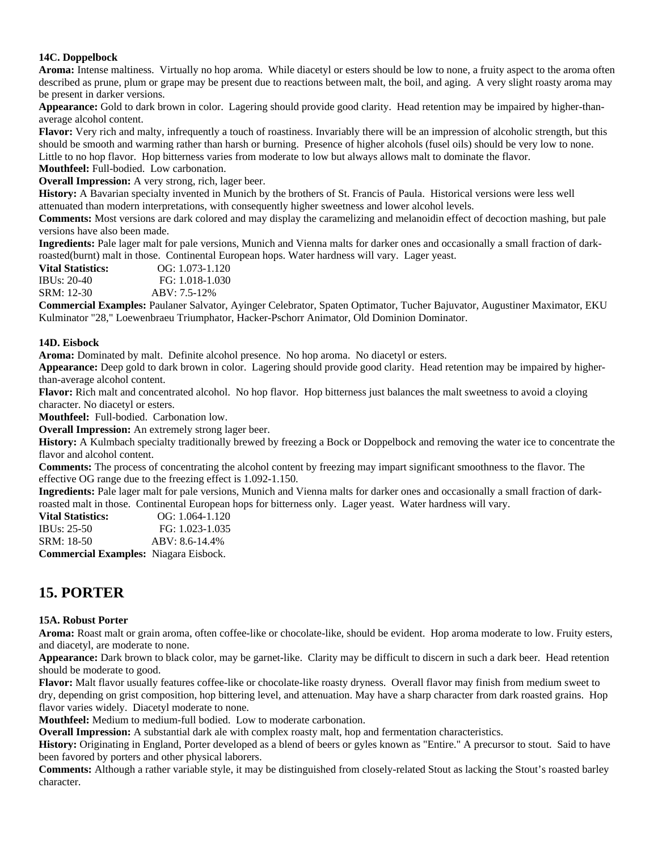### **14C. Doppelbock**

**Aroma:** Intense maltiness. Virtually no hop aroma. While diacetyl or esters should be low to none, a fruity aspect to the aroma often described as prune, plum or grape may be present due to reactions between malt, the boil, and aging. A very slight roasty aroma may be present in darker versions.

**Appearance:** Gold to dark brown in color. Lagering should provide good clarity. Head retention may be impaired by higher-thanaverage alcohol content.

**Flavor:** Very rich and malty, infrequently a touch of roastiness. Invariably there will be an impression of alcoholic strength, but this should be smooth and warming rather than harsh or burning. Presence of higher alcohols (fusel oils) should be very low to none. Little to no hop flavor. Hop bitterness varies from moderate to low but always allows malt to dominate the flavor.

**Mouthfeel:** Full-bodied. Low carbonation.

**Overall Impression:** A very strong, rich, lager beer.

**History:** A Bavarian specialty invented in Munich by the brothers of St. Francis of Paula. Historical versions were less well attenuated than modern interpretations, with consequently higher sweetness and lower alcohol levels.

**Comments:** Most versions are dark colored and may display the caramelizing and melanoidin effect of decoction mashing, but pale versions have also been made.

**Ingredients:** Pale lager malt for pale versions, Munich and Vienna malts for darker ones and occasionally a small fraction of darkroasted(burnt) malt in those. Continental European hops. Water hardness will vary. Lager yeast.

**Vital Statistics: OG:** 1.073-1.120 IBUs: 20-40 FG: 1.018-1.030 SRM: 12-30 ABV: 7.5-12%

**Commercial Examples:** Paulaner Salvator, Ayinger Celebrator, Spaten Optimator, Tucher Bajuvator, Augustiner Maximator, EKU Kulminator "28," Loewenbraeu Triumphator, Hacker-Pschorr Animator, Old Dominion Dominator.

#### **14D. Eisbock**

**Aroma:** Dominated by malt. Definite alcohol presence. No hop aroma. No diacetyl or esters.

**Appearance:** Deep gold to dark brown in color. Lagering should provide good clarity. Head retention may be impaired by higherthan-average alcohol content.

**Flavor:** Rich malt and concentrated alcohol. No hop flavor. Hop bitterness just balances the malt sweetness to avoid a cloying character. No diacetyl or esters.

**Mouthfeel:** Full-bodied. Carbonation low.

**Overall Impression:** An extremely strong lager beer.

**History:** A Kulmbach specialty traditionally brewed by freezing a Bock or Doppelbock and removing the water ice to concentrate the flavor and alcohol content.

**Comments:** The process of concentrating the alcohol content by freezing may impart significant smoothness to the flavor. The effective OG range due to the freezing effect is 1.092-1.150.

**Ingredients:** Pale lager malt for pale versions, Munich and Vienna malts for darker ones and occasionally a small fraction of darkroasted malt in those. Continental European hops for bitterness only. Lager yeast. Water hardness will vary.

**Vital Statistics:** OG: 1.064-1.120 IBUs: 25-50 FG: 1.023-1.035 SRM: 18-50 ABV: 8.6-14.4% **Commercial Examples:** Niagara Eisbock.

### **15. PORTER**

#### **15A. Robust Porter**

**Aroma:** Roast malt or grain aroma, often coffee-like or chocolate-like, should be evident. Hop aroma moderate to low. Fruity esters, and diacetyl, are moderate to none.

**Appearance:** Dark brown to black color, may be garnet-like. Clarity may be difficult to discern in such a dark beer. Head retention should be moderate to good.

**Flavor:** Malt flavor usually features coffee-like or chocolate-like roasty dryness. Overall flavor may finish from medium sweet to dry, depending on grist composition, hop bittering level, and attenuation. May have a sharp character from dark roasted grains. Hop flavor varies widely. Diacetyl moderate to none.

**Mouthfeel:** Medium to medium-full bodied. Low to moderate carbonation.

**Overall Impression:** A substantial dark ale with complex roasty malt, hop and fermentation characteristics.

**History:** Originating in England, Porter developed as a blend of beers or gyles known as "Entire." A precursor to stout. Said to have been favored by porters and other physical laborers.

**Comments:** Although a rather variable style, it may be distinguished from closely-related Stout as lacking the Stout's roasted barley character.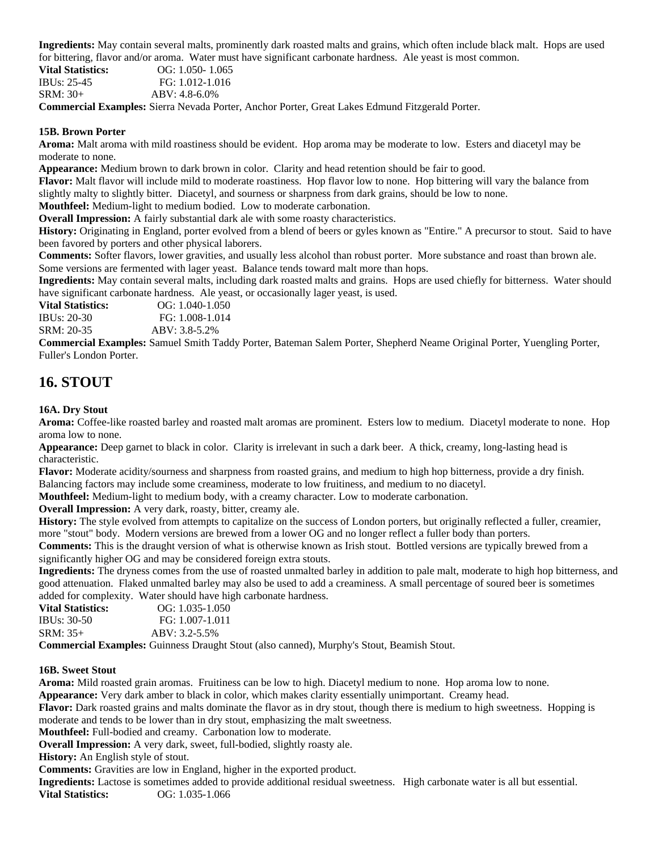**Ingredients:** May contain several malts, prominently dark roasted malts and grains, which often include black malt. Hops are used for bittering, flavor and/or aroma. Water must have significant carbonate hardness. Ale yeast is most common.

**Vital Statistics:** OG: 1.050- 1.065 IBUs: 25-45 FG: 1.012-1.016

SRM: 30+ ABV: 4.8-6.0%

**Commercial Examples:** Sierra Nevada Porter, Anchor Porter, Great Lakes Edmund Fitzgerald Porter.

#### **15B. Brown Porter**

**Aroma:** Malt aroma with mild roastiness should be evident. Hop aroma may be moderate to low. Esters and diacetyl may be moderate to none.

**Appearance:** Medium brown to dark brown in color. Clarity and head retention should be fair to good.

**Flavor:** Malt flavor will include mild to moderate roastiness. Hop flavor low to none. Hop bittering will vary the balance from slightly malty to slightly bitter. Diacetyl, and sourness or sharpness from dark grains, should be low to none.

**Mouthfeel:** Medium-light to medium bodied. Low to moderate carbonation.

**Overall Impression:** A fairly substantial dark ale with some roasty characteristics.

**History:** Originating in England, porter evolved from a blend of beers or gyles known as "Entire." A precursor to stout. Said to have been favored by porters and other physical laborers.

**Comments:** Softer flavors, lower gravities, and usually less alcohol than robust porter. More substance and roast than brown ale. Some versions are fermented with lager yeast. Balance tends toward malt more than hops.

**Ingredients:** May contain several malts, including dark roasted malts and grains. Hops are used chiefly for bitterness. Water should have significant carbonate hardness. Ale yeast, or occasionally lager yeast, is used.

**Vital Statistics:** OG: 1.040-1.050 IBUs: 20-30 FG: 1.008-1.014

SRM: 20-35 ABV: 3.8-5.2%

**Commercial Examples:** Samuel Smith Taddy Porter, Bateman Salem Porter, Shepherd Neame Original Porter, Yuengling Porter, Fuller's London Porter.

### **16. STOUT**

#### **16A. Dry Stout**

**Aroma:** Coffee-like roasted barley and roasted malt aromas are prominent. Esters low to medium. Diacetyl moderate to none. Hop aroma low to none.

**Appearance:** Deep garnet to black in color. Clarity is irrelevant in such a dark beer. A thick, creamy, long-lasting head is characteristic.

**Flavor:** Moderate acidity/sourness and sharpness from roasted grains, and medium to high hop bitterness, provide a dry finish. Balancing factors may include some creaminess, moderate to low fruitiness, and medium to no diacetyl.

**Mouthfeel:** Medium-light to medium body, with a creamy character. Low to moderate carbonation.

**Overall Impression:** A very dark, roasty, bitter, creamy ale.

**History:** The style evolved from attempts to capitalize on the success of London porters, but originally reflected a fuller, creamier, more "stout" body. Modern versions are brewed from a lower OG and no longer reflect a fuller body than porters.

**Comments:** This is the draught version of what is otherwise known as Irish stout. Bottled versions are typically brewed from a significantly higher OG and may be considered foreign extra stouts.

**Ingredients:** The dryness comes from the use of roasted unmalted barley in addition to pale malt, moderate to high hop bitterness, and good attenuation. Flaked unmalted barley may also be used to add a creaminess. A small percentage of soured beer is sometimes added for complexity. Water should have high carbonate hardness.

| <b>Vital Statistics:</b> | $OG: 1.035-1.050$  |
|--------------------------|--------------------|
| IBUs: $30-50$            | FG: 1.007-1.011    |
| $SRM: 35+$               | $ABV: 3.2 - 5.5\%$ |
|                          |                    |

**Commercial Examples:** Guinness Draught Stout (also canned), Murphy's Stout, Beamish Stout.

#### **16B. Sweet Stout**

**Aroma:** Mild roasted grain aromas. Fruitiness can be low to high. Diacetyl medium to none. Hop aroma low to none.

**Appearance:** Very dark amber to black in color, which makes clarity essentially unimportant. Creamy head.

**Flavor:** Dark roasted grains and malts dominate the flavor as in dry stout, though there is medium to high sweetness. Hopping is moderate and tends to be lower than in dry stout, emphasizing the malt sweetness.

**Mouthfeel:** Full-bodied and creamy. Carbonation low to moderate.

**Overall Impression:** A very dark, sweet, full-bodied, slightly roasty ale.

**History:** An English style of stout.

**Comments:** Gravities are low in England, higher in the exported product.

**Ingredients:** Lactose is sometimes added to provide additional residual sweetness. High carbonate water is all but essential. **Vital Statistics:** OG: 1.035-1.066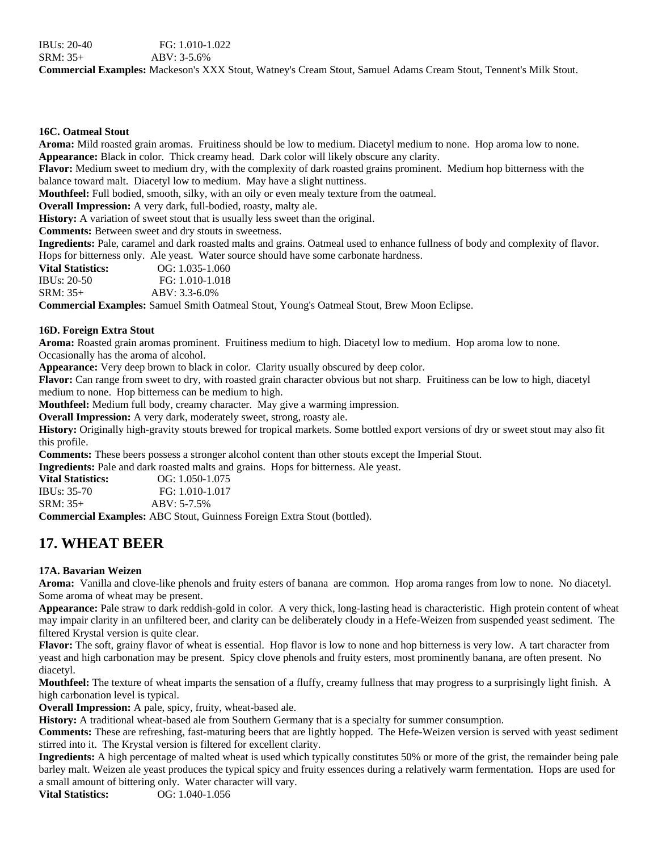#### **16C. Oatmeal Stout**

**Aroma:** Mild roasted grain aromas. Fruitiness should be low to medium. Diacetyl medium to none. Hop aroma low to none. **Appearance:** Black in color. Thick creamy head. Dark color will likely obscure any clarity.

**Flavor:** Medium sweet to medium dry, with the complexity of dark roasted grains prominent. Medium hop bitterness with the balance toward malt. Diacetyl low to medium. May have a slight nuttiness.

**Mouthfeel:** Full bodied, smooth, silky, with an oily or even mealy texture from the oatmeal.

**Overall Impression:** A very dark, full-bodied, roasty, malty ale.

**History:** A variation of sweet stout that is usually less sweet than the original.

**Comments:** Between sweet and dry stouts in sweetness.

**Ingredients:** Pale, caramel and dark roasted malts and grains. Oatmeal used to enhance fullness of body and complexity of flavor. Hops for bitterness only. Ale yeast. Water source should have some carbonate hardness.

**Vital Statistics:** OG: 1.035-1.060 IBUs: 20-50 FG: 1.010-1.018 SRM: 35+ ABV: 3.3-6.0%

**Commercial Examples:** Samuel Smith Oatmeal Stout, Young's Oatmeal Stout, Brew Moon Eclipse.

#### **16D. Foreign Extra Stout**

**Aroma:** Roasted grain aromas prominent. Fruitiness medium to high. Diacetyl low to medium. Hop aroma low to none. Occasionally has the aroma of alcohol.

**Appearance:** Very deep brown to black in color. Clarity usually obscured by deep color.

**Flavor:** Can range from sweet to dry, with roasted grain character obvious but not sharp. Fruitiness can be low to high, diacetyl medium to none. Hop bitterness can be medium to high.

**Mouthfeel:** Medium full body, creamy character. May give a warming impression.

**Overall Impression:** A very dark, moderately sweet, strong, roasty ale.

**History:** Originally high-gravity stouts brewed for tropical markets. Some bottled export versions of dry or sweet stout may also fit this profile.

**Comments:** These beers possess a stronger alcohol content than other stouts except the Imperial Stout.

**Ingredients:** Pale and dark roasted malts and grains. Hops for bitterness. Ale yeast.

| <b>Vital Statistics:</b> | $OG: 1.050-1.075$ |
|--------------------------|-------------------|
| IBUs: 35-70              | FG: 1.010-1.017   |
| SRM: 35+                 | $ABV: 5-7.5%$     |
|                          |                   |

**Commercial Examples:** ABC Stout, Guinness Foreign Extra Stout (bottled).

# **17. WHEAT BEER**

#### **17A. Bavarian Weizen**

**Aroma:** Vanilla and clove-like phenols and fruity esters of banana are common. Hop aroma ranges from low to none. No diacetyl. Some aroma of wheat may be present.

**Appearance:** Pale straw to dark reddish-gold in color. A very thick, long-lasting head is characteristic. High protein content of wheat may impair clarity in an unfiltered beer, and clarity can be deliberately cloudy in a Hefe-Weizen from suspended yeast sediment. The filtered Krystal version is quite clear.

**Flavor:** The soft, grainy flavor of wheat is essential. Hop flavor is low to none and hop bitterness is very low. A tart character from yeast and high carbonation may be present. Spicy clove phenols and fruity esters, most prominently banana, are often present. No diacetyl.

**Mouthfeel:** The texture of wheat imparts the sensation of a fluffy, creamy fullness that may progress to a surprisingly light finish. A high carbonation level is typical.

**Overall Impression:** A pale, spicy, fruity, wheat-based ale.

**History:** A traditional wheat-based ale from Southern Germany that is a specialty for summer consumption.

**Comments:** These are refreshing, fast-maturing beers that are lightly hopped. The Hefe-Weizen version is served with yeast sediment stirred into it. The Krystal version is filtered for excellent clarity.

**Ingredients:** A high percentage of malted wheat is used which typically constitutes 50% or more of the grist, the remainder being pale barley malt. Weizen ale yeast produces the typical spicy and fruity essences during a relatively warm fermentation. Hops are used for a small amount of bittering only. Water character will vary.

**Vital Statistics:** OG: 1.040-1.056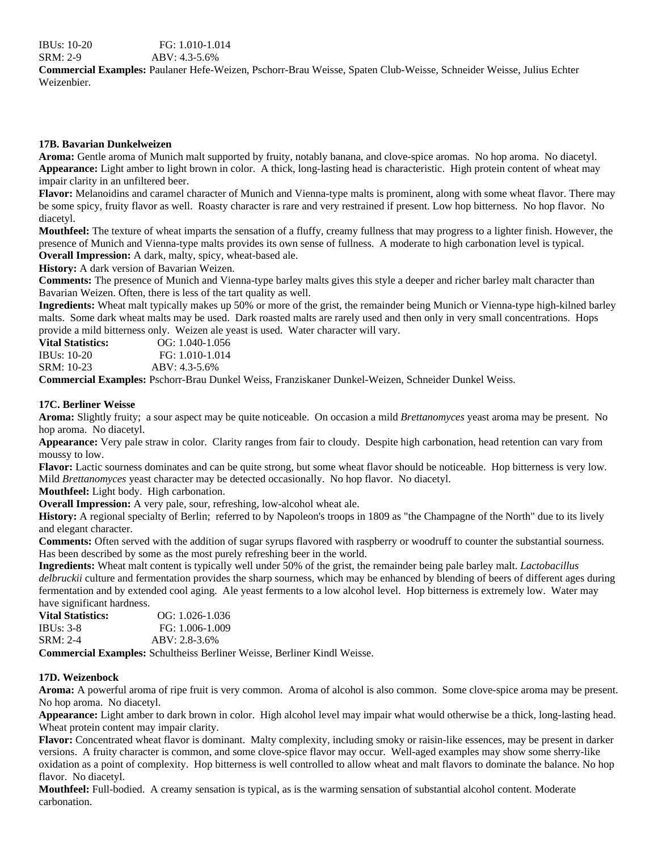#### **17B. Bavarian Dunkelweizen**

**Aroma:** Gentle aroma of Munich malt supported by fruity, notably banana, and clove-spice aromas. No hop aroma. No diacetyl. **Appearance:** Light amber to light brown in color. A thick, long-lasting head is characteristic. High protein content of wheat may impair clarity in an unfiltered beer.

**Flavor:** Melanoidins and caramel character of Munich and Vienna-type malts is prominent, along with some wheat flavor. There may be some spicy, fruity flavor as well. Roasty character is rare and very restrained if present. Low hop bitterness. No hop flavor. No diacetyl.

**Mouthfeel:** The texture of wheat imparts the sensation of a fluffy, creamy fullness that may progress to a lighter finish. However, the presence of Munich and Vienna-type malts provides its own sense of fullness. A moderate to high carbonation level is typical. **Overall Impression:** A dark, malty, spicy, wheat-based ale.

**History:** A dark version of Bavarian Weizen.

**Comments:** The presence of Munich and Vienna-type barley malts gives this style a deeper and richer barley malt character than Bavarian Weizen. Often, there is less of the tart quality as well.

**Ingredients:** Wheat malt typically makes up 50% or more of the grist, the remainder being Munich or Vienna-type high-kilned barley malts. Some dark wheat malts may be used. Dark roasted malts are rarely used and then only in very small concentrations. Hops provide a mild bitterness only. Weizen ale yeast is used. Water character will vary.

| <b>Vital Statistics:</b> | $OG: 1.040-1.056$ |
|--------------------------|-------------------|
| IBUs: $10-20$            | FG: 1.010-1.014   |
| SRM: 10-23               | $ABV: 4.3-5.6%$   |

**Commercial Examples:** Pschorr-Brau Dunkel Weiss, Franziskaner Dunkel-Weizen, Schneider Dunkel Weiss.

#### **17C. Berliner Weisse**

**Aroma:** Slightly fruity; a sour aspect may be quite noticeable. On occasion a mild *Brettanomyces* yeast aroma may be present. No hop aroma. No diacetyl.

**Appearance:** Very pale straw in color. Clarity ranges from fair to cloudy. Despite high carbonation, head retention can vary from moussy to low.

**Flavor:** Lactic sourness dominates and can be quite strong, but some wheat flavor should be noticeable. Hop bitterness is very low. Mild *Brettanomyces* yeast character may be detected occasionally. No hop flavor. No diacetyl.

**Mouthfeel:** Light body. High carbonation.

**Overall Impression:** A very pale, sour, refreshing, low-alcohol wheat ale.

**History:** A regional specialty of Berlin; referred to by Napoleon's troops in 1809 as "the Champagne of the North" due to its lively and elegant character.

**Comments:** Often served with the addition of sugar syrups flavored with raspberry or woodruff to counter the substantial sourness. Has been described by some as the most purely refreshing beer in the world.

**Ingredients:** Wheat malt content is typically well under 50% of the grist, the remainder being pale barley malt. *Lactobacillus delbruckii* culture and fermentation provides the sharp sourness, which may be enhanced by blending of beers of different ages during fermentation and by extended cool aging. Ale yeast ferments to a low alcohol level. Hop bitterness is extremely low. Water may have significant hardness.

| <b>Vital Statistics:</b> | $OG: 1.026-1.036$ |
|--------------------------|-------------------|
| <b>IBUs: 3-8</b>         | FG: 1.006-1.009   |
| SRM: 2-4                 | $ABV: 2.8-3.6%$   |

**Commercial Examples:** Schultheiss Berliner Weisse, Berliner Kindl Weisse.

#### **17D. Weizenbock**

**Aroma:** A powerful aroma of ripe fruit is very common. Aroma of alcohol is also common. Some clove-spice aroma may be present. No hop aroma. No diacetyl.

**Appearance:** Light amber to dark brown in color. High alcohol level may impair what would otherwise be a thick, long-lasting head. Wheat protein content may impair clarity.

**Flavor:** Concentrated wheat flavor is dominant. Malty complexity, including smoky or raisin-like essences, may be present in darker versions. A fruity character is common, and some clove-spice flavor may occur. Well-aged examples may show some sherry-like oxidation as a point of complexity. Hop bitterness is well controlled to allow wheat and malt flavors to dominate the balance. No hop flavor. No diacetyl.

**Mouthfeel:** Full-bodied. A creamy sensation is typical, as is the warming sensation of substantial alcohol content. Moderate carbonation.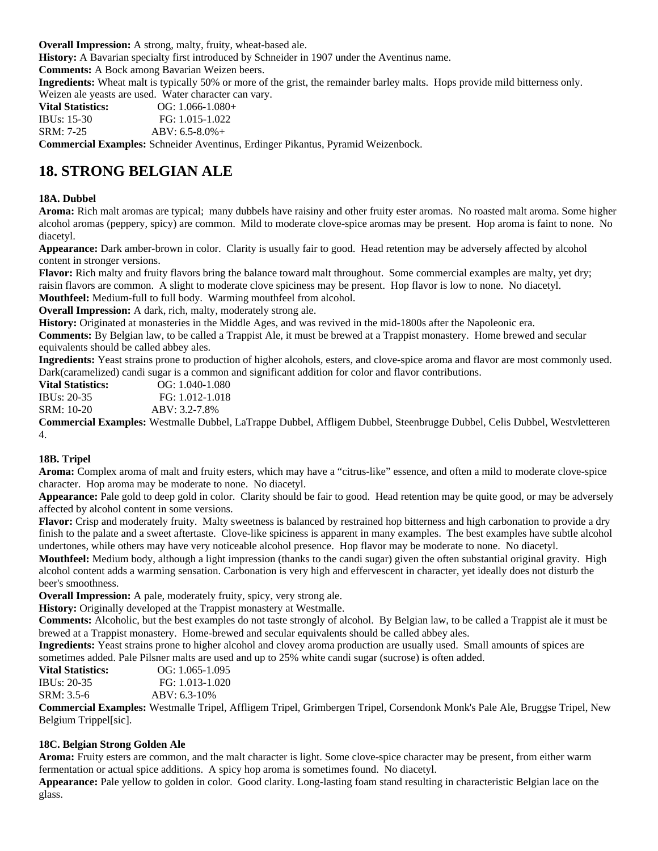**Overall Impression:** A strong, malty, fruity, wheat-based ale.

**History:** A Bavarian specialty first introduced by Schneider in 1907 under the Aventinus name.

**Comments:** A Bock among Bavarian Weizen beers.

**Ingredients:** Wheat malt is typically 50% or more of the grist, the remainder barley malts. Hops provide mild bitterness only. Weizen ale yeasts are used. Water character can vary.

| Vital Statistics:         | $OG: 1.066-1.080+$          |
|---------------------------|-----------------------------|
| IBUs: 15-30               | FG: 1.015-1.022             |
| SRM: 7-25                 | $ABV: 6.5-8.0%+$            |
| $\sim$ $\sim$<br>$\cdots$ | $\sim$ $\sim$ $\sim$ $\sim$ |

**Commercial Examples:** Schneider Aventinus, Erdinger Pikantus, Pyramid Weizenbock.

# **18. STRONG BELGIAN ALE**

#### **18A. Dubbel**

**Aroma:** Rich malt aromas are typical; many dubbels have raisiny and other fruity ester aromas. No roasted malt aroma. Some higher alcohol aromas (peppery, spicy) are common. Mild to moderate clove-spice aromas may be present. Hop aroma is faint to none. No diacetyl.

**Appearance:** Dark amber-brown in color. Clarity is usually fair to good. Head retention may be adversely affected by alcohol content in stronger versions.

**Flavor:** Rich malty and fruity flavors bring the balance toward malt throughout. Some commercial examples are malty, yet dry; raisin flavors are common. A slight to moderate clove spiciness may be present. Hop flavor is low to none. No diacetyl. **Mouthfeel:** Medium-full to full body. Warming mouthfeel from alcohol.

**Overall Impression:** A dark, rich, malty, moderately strong ale.

**History:** Originated at monasteries in the Middle Ages, and was revived in the mid-1800s after the Napoleonic era.

**Comments:** By Belgian law, to be called a Trappist Ale, it must be brewed at a Trappist monastery. Home brewed and secular equivalents should be called abbey ales.

**Ingredients:** Yeast strains prone to production of higher alcohols, esters, and clove-spice aroma and flavor are most commonly used. Dark(caramelized) candi sugar is a common and significant addition for color and flavor contributions.

| <b>Vital Statistics:</b> | $OG: 1.040-1.080$ |
|--------------------------|-------------------|
| <b>IBUs: 20-35</b>       | FG: 1.012-1.018   |
| SRM: 10-20               | ABV: 3.2-7.8%     |
| $\sim$<br>.              | $\frac{1}{2}$     |

**Commercial Examples:** Westmalle Dubbel, LaTrappe Dubbel, Affligem Dubbel, Steenbrugge Dubbel, Celis Dubbel, Westvletteren 4.

### **18B. Tripel**

**Aroma:** Complex aroma of malt and fruity esters, which may have a "citrus-like" essence, and often a mild to moderate clove-spice character. Hop aroma may be moderate to none. No diacetyl.

**Appearance:** Pale gold to deep gold in color. Clarity should be fair to good. Head retention may be quite good, or may be adversely affected by alcohol content in some versions.

**Flavor:** Crisp and moderately fruity. Malty sweetness is balanced by restrained hop bitterness and high carbonation to provide a dry finish to the palate and a sweet aftertaste. Clove-like spiciness is apparent in many examples. The best examples have subtle alcohol undertones, while others may have very noticeable alcohol presence. Hop flavor may be moderate to none. No diacetyl.

**Mouthfeel:** Medium body, although a light impression (thanks to the candi sugar) given the often substantial original gravity. High alcohol content adds a warming sensation. Carbonation is very high and effervescent in character, yet ideally does not disturb the beer's smoothness.

**Overall Impression:** A pale, moderately fruity, spicy, very strong ale.

**History:** Originally developed at the Trappist monastery at Westmalle.

**Comments:** Alcoholic, but the best examples do not taste strongly of alcohol. By Belgian law, to be called a Trappist ale it must be brewed at a Trappist monastery. Home-brewed and secular equivalents should be called abbey ales.

**Ingredients:** Yeast strains prone to higher alcohol and clovey aroma production are usually used. Small amounts of spices are sometimes added. Pale Pilsner malts are used and up to 25% white candi sugar (sucrose) is often added.

**Vital Statistics: OG:** 1.065-1.095 IBUs: 20-35 FG: 1.013-1.020 SRM: 3.5-6 ABV: 6.3-10%

**Commercial Examples:** Westmalle Tripel, Affligem Tripel, Grimbergen Tripel, Corsendonk Monk's Pale Ale, Bruggse Tripel, New Belgium Trippel[sic].

#### **18C. Belgian Strong Golden Ale**

**Aroma:** Fruity esters are common, and the malt character is light. Some clove-spice character may be present, from either warm fermentation or actual spice additions. A spicy hop aroma is sometimes found. No diacetyl.

**Appearance:** Pale yellow to golden in color. Good clarity. Long-lasting foam stand resulting in characteristic Belgian lace on the glass.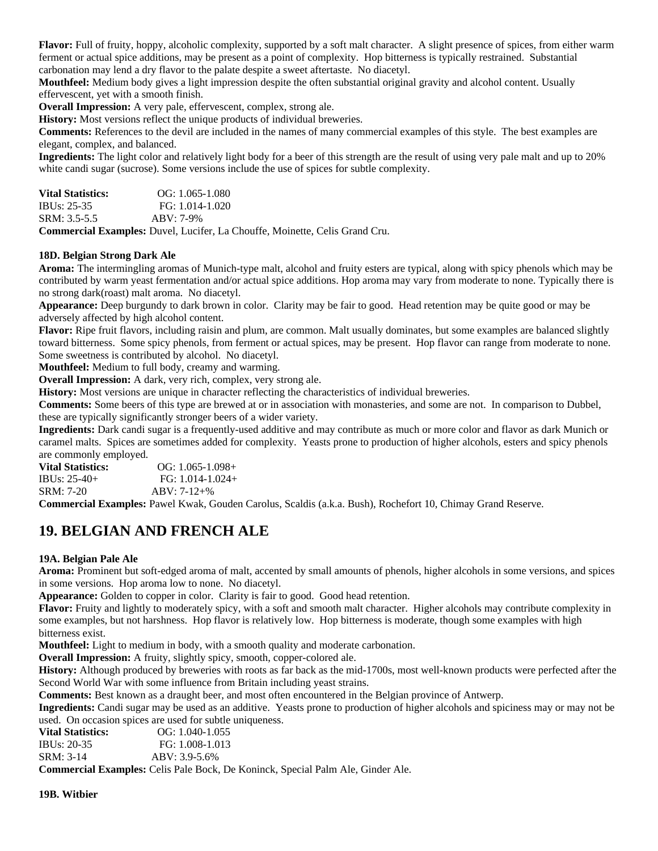**Flavor:** Full of fruity, hoppy, alcoholic complexity, supported by a soft malt character. A slight presence of spices, from either warm ferment or actual spice additions, may be present as a point of complexity. Hop bitterness is typically restrained. Substantial carbonation may lend a dry flavor to the palate despite a sweet aftertaste. No diacetyl.

**Mouthfeel:** Medium body gives a light impression despite the often substantial original gravity and alcohol content. Usually effervescent, yet with a smooth finish.

**Overall Impression:** A very pale, effervescent, complex, strong ale.

**History:** Most versions reflect the unique products of individual breweries.

**Comments:** References to the devil are included in the names of many commercial examples of this style. The best examples are elegant, complex, and balanced.

**Ingredients:** The light color and relatively light body for a beer of this strength are the result of using very pale malt and up to 20% white candi sugar (sucrose). Some versions include the use of spices for subtle complexity.

| <b>Vital Statistics:</b> |  | $OG: 1.065-1.080$                                     |  |  |  |
|--------------------------|--|-------------------------------------------------------|--|--|--|
| IBUs: $25-35$            |  | FG: 1.014-1.020                                       |  |  |  |
| $SRM: 3.5-5.5$           |  | $ABV: 7-9%$                                           |  |  |  |
| $\sim$ $\sim$<br>.       |  | $\mathcal{D}$ if it is $\mathcal{D}$ if $\mathcal{D}$ |  |  |  |

**Commercial Examples:** Duvel, Lucifer, La Chouffe, Moinette, Celis Grand Cru.

#### **18D. Belgian Strong Dark Ale**

**Aroma:** The intermingling aromas of Munich-type malt, alcohol and fruity esters are typical, along with spicy phenols which may be contributed by warm yeast fermentation and/or actual spice additions. Hop aroma may vary from moderate to none. Typically there is no strong dark(roast) malt aroma. No diacetyl.

**Appearance:** Deep burgundy to dark brown in color. Clarity may be fair to good. Head retention may be quite good or may be adversely affected by high alcohol content.

**Flavor:** Ripe fruit flavors, including raisin and plum, are common. Malt usually dominates, but some examples are balanced slightly toward bitterness. Some spicy phenols, from ferment or actual spices, may be present. Hop flavor can range from moderate to none. Some sweetness is contributed by alcohol. No diacetyl.

**Mouthfeel:** Medium to full body, creamy and warming.

**Overall Impression:** A dark, very rich, complex, very strong ale.

**History:** Most versions are unique in character reflecting the characteristics of individual breweries.

**Comments:** Some beers of this type are brewed at or in association with monasteries, and some are not. In comparison to Dubbel, these are typically significantly stronger beers of a wider variety.

**Ingredients:** Dark candi sugar is a frequently-used additive and may contribute as much or more color and flavor as dark Munich or caramel malts. Spices are sometimes added for complexity. Yeasts prone to production of higher alcohols, esters and spicy phenols are commonly employed.

| Vital Statistics: | $OG: 1.065-1.098+$ |
|-------------------|--------------------|
| IBUs: 25-40+      | $FG: 1.014-1.024+$ |
| SRM: 7-20         | $ABV: 7-12+%$      |

**Commercial Examples:** Pawel Kwak, Gouden Carolus, Scaldis (a.k.a. Bush), Rochefort 10, Chimay Grand Reserve.

### **19. BELGIAN AND FRENCH ALE**

#### **19A. Belgian Pale Ale**

**Aroma:** Prominent but soft-edged aroma of malt, accented by small amounts of phenols, higher alcohols in some versions, and spices in some versions. Hop aroma low to none. No diacetyl.

**Appearance:** Golden to copper in color. Clarity is fair to good. Good head retention.

**Flavor:** Fruity and lightly to moderately spicy, with a soft and smooth malt character. Higher alcohols may contribute complexity in some examples, but not harshness. Hop flavor is relatively low. Hop bitterness is moderate, though some examples with high bitterness exist.

**Mouthfeel:** Light to medium in body, with a smooth quality and moderate carbonation.

**Overall Impression:** A fruity, slightly spicy, smooth, copper-colored ale.

**History:** Although produced by breweries with roots as far back as the mid-1700s, most well-known products were perfected after the Second World War with some influence from Britain including yeast strains.

**Comments:** Best known as a draught beer, and most often encountered in the Belgian province of Antwerp.

**Ingredients:** Candi sugar may be used as an additive. Yeasts prone to production of higher alcohols and spiciness may or may not be used. On occasion spices are used for subtle uniqueness.

| <b>Vital Statistics:</b> | $OG: 1.040-1.055$ |
|--------------------------|-------------------|
| IBUs: 20-35              | FG: 1.008-1.013   |
| SRM: 3-14                | ABV: 3.9-5.6%     |

**Commercial Examples:** Celis Pale Bock, De Koninck, Special Palm Ale, Ginder Ale.

**19B. Witbier**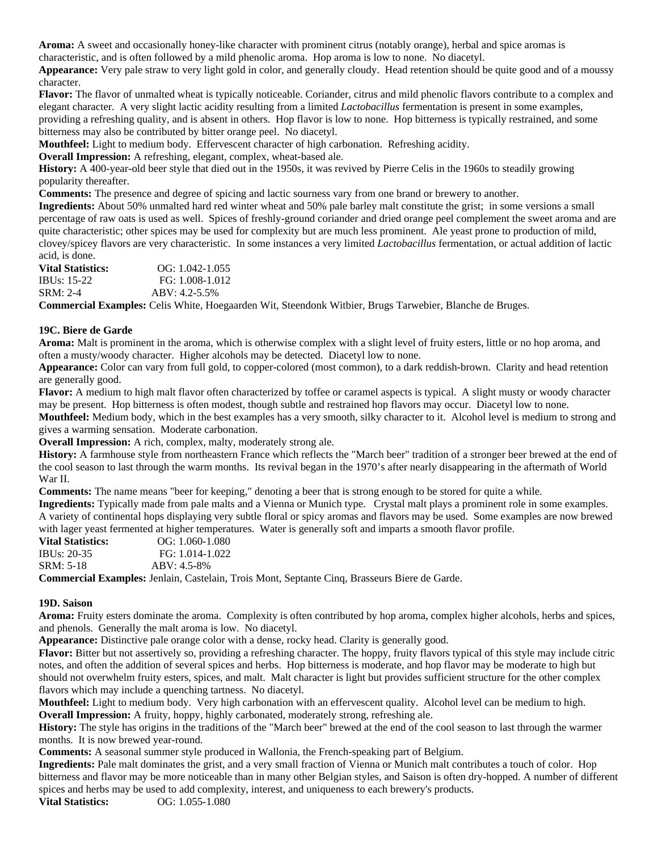**Aroma:** A sweet and occasionally honey-like character with prominent citrus (notably orange), herbal and spice aromas is characteristic, and is often followed by a mild phenolic aroma. Hop aroma is low to none. No diacetyl.

**Appearance:** Very pale straw to very light gold in color, and generally cloudy. Head retention should be quite good and of a moussy character.

**Flavor:** The flavor of unmalted wheat is typically noticeable. Coriander, citrus and mild phenolic flavors contribute to a complex and elegant character. A very slight lactic acidity resulting from a limited *Lactobacillus* fermentation is present in some examples, providing a refreshing quality, and is absent in others. Hop flavor is low to none. Hop bitterness is typically restrained, and some bitterness may also be contributed by bitter orange peel. No diacetyl.

**Mouthfeel:** Light to medium body. Effervescent character of high carbonation. Refreshing acidity.

**Overall Impression:** A refreshing, elegant, complex, wheat-based ale.

**History:** A 400-year-old beer style that died out in the 1950s, it was revived by Pierre Celis in the 1960s to steadily growing popularity thereafter.

**Comments:** The presence and degree of spicing and lactic sourness vary from one brand or brewery to another.

**Ingredients:** About 50% unmalted hard red winter wheat and 50% pale barley malt constitute the grist; in some versions a small percentage of raw oats is used as well. Spices of freshly-ground coriander and dried orange peel complement the sweet aroma and are quite characteristic; other spices may be used for complexity but are much less prominent. Ale yeast prone to production of mild, clovey/spicey flavors are very characteristic. In some instances a very limited *Lactobacillus* fermentation, or actual addition of lactic acid, is done.

| <b>Vital Statistics:</b> | $OG: 1.042-1.055$  |
|--------------------------|--------------------|
| <b>IBUs: 15-22</b>       | FG: 1.008-1.012    |
| SRM: 2-4                 | $ABV: 4.2 - 5.5\%$ |
|                          |                    |

**Commercial Examples:** Celis White, Hoegaarden Wit, Steendonk Witbier, Brugs Tarwebier, Blanche de Bruges.

#### **19C. Biere de Garde**

**Aroma:** Malt is prominent in the aroma, which is otherwise complex with a slight level of fruity esters, little or no hop aroma, and often a musty/woody character. Higher alcohols may be detected. Diacetyl low to none.

**Appearance:** Color can vary from full gold, to copper-colored (most common), to a dark reddish-brown. Clarity and head retention are generally good.

**Flavor:** A medium to high malt flavor often characterized by toffee or caramel aspects is typical. A slight musty or woody character may be present. Hop bitterness is often modest, though subtle and restrained hop flavors may occur. Diacetyl low to none.

**Mouthfeel:** Medium body, which in the best examples has a very smooth, silky character to it. Alcohol level is medium to strong and gives a warming sensation. Moderate carbonation.

**Overall Impression:** A rich, complex, malty, moderately strong ale.

**History:** A farmhouse style from northeastern France which reflects the "March beer" tradition of a stronger beer brewed at the end of the cool season to last through the warm months. Its revival began in the 1970's after nearly disappearing in the aftermath of World War II.

**Comments:** The name means "beer for keeping," denoting a beer that is strong enough to be stored for quite a while.

**Ingredients:** Typically made from pale malts and a Vienna or Munich type. Crystal malt plays a prominent role in some examples. A variety of continental hops displaying very subtle floral or spicy aromas and flavors may be used. Some examples are now brewed with lager yeast fermented at higher temperatures. Water is generally soft and imparts a smooth flavor profile.

**Vital Statistics:** OG: 1.060-1.080 IBUs: 20-35 FG: 1.014-1.022 SRM: 5-18 ABV: 4.5-8%

**Commercial Examples:** Jenlain, Castelain, Trois Mont, Septante Cinq, Brasseurs Biere de Garde.

#### **19D. Saison**

**Aroma:** Fruity esters dominate the aroma. Complexity is often contributed by hop aroma, complex higher alcohols, herbs and spices, and phenols. Generally the malt aroma is low. No diacetyl.

**Appearance:** Distinctive pale orange color with a dense, rocky head. Clarity is generally good.

**Flavor:** Bitter but not assertively so, providing a refreshing character. The hoppy, fruity flavors typical of this style may include citric notes, and often the addition of several spices and herbs. Hop bitterness is moderate, and hop flavor may be moderate to high but should not overwhelm fruity esters, spices, and malt. Malt character is light but provides sufficient structure for the other complex flavors which may include a quenching tartness. No diacetyl.

**Mouthfeel:** Light to medium body. Very high carbonation with an effervescent quality. Alcohol level can be medium to high. **Overall Impression:** A fruity, hoppy, highly carbonated, moderately strong, refreshing ale.

**History:** The style has origins in the traditions of the "March beer" brewed at the end of the cool season to last through the warmer months. It is now brewed year-round.

**Comments:** A seasonal summer style produced in Wallonia, the French-speaking part of Belgium.

**Ingredients:** Pale malt dominates the grist, and a very small fraction of Vienna or Munich malt contributes a touch of color. Hop bitterness and flavor may be more noticeable than in many other Belgian styles, and Saison is often dry-hopped. A number of different spices and herbs may be used to add complexity, interest, and uniqueness to each brewery's products.

**Vital Statistics:** OG: 1.055-1.080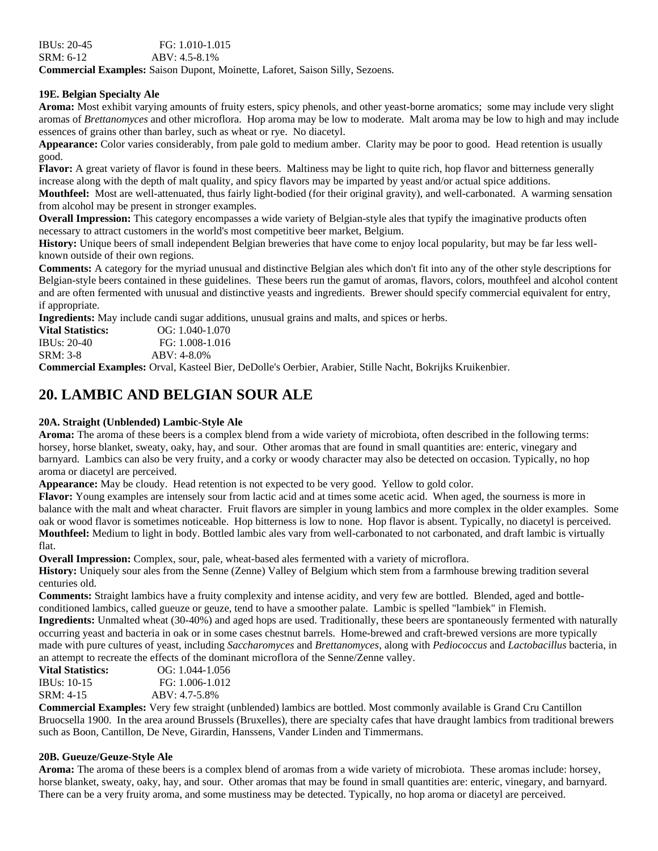#### **19E. Belgian Specialty Ale**

**Aroma:** Most exhibit varying amounts of fruity esters, spicy phenols, and other yeast-borne aromatics; some may include very slight aromas of *Brettanomyces* and other microflora. Hop aroma may be low to moderate. Malt aroma may be low to high and may include essences of grains other than barley, such as wheat or rye. No diacetyl.

**Appearance:** Color varies considerably, from pale gold to medium amber. Clarity may be poor to good. Head retention is usually good.

**Flavor:** A great variety of flavor is found in these beers. Maltiness may be light to quite rich, hop flavor and bitterness generally increase along with the depth of malt quality, and spicy flavors may be imparted by yeast and/or actual spice additions.

**Mouthfeel:** Most are well-attenuated, thus fairly light-bodied (for their original gravity), and well-carbonated. A warming sensation from alcohol may be present in stronger examples.

**Overall Impression:** This category encompasses a wide variety of Belgian-style ales that typify the imaginative products often necessary to attract customers in the world's most competitive beer market, Belgium.

**History:** Unique beers of small independent Belgian breweries that have come to enjoy local popularity, but may be far less wellknown outside of their own regions.

**Comments:** A category for the myriad unusual and distinctive Belgian ales which don't fit into any of the other style descriptions for Belgian-style beers contained in these guidelines. These beers run the gamut of aromas, flavors, colors, mouthfeel and alcohol content and are often fermented with unusual and distinctive yeasts and ingredients. Brewer should specify commercial equivalent for entry, if appropriate.

**Ingredients:** May include candi sugar additions, unusual grains and malts, and spices or herbs.

| <b>Vital Statistics:</b> | $OG: 1.040-1.070$ |
|--------------------------|-------------------|
| IBUs: $20-40$            | FG: 1.008-1.016   |
| SRM: 3-8                 | $ABV: 4-8.0\%$    |

**Commercial Examples:** Orval, Kasteel Bier, DeDolle's Oerbier, Arabier, Stille Nacht, Bokrijks Kruikenbier.

## **20. LAMBIC AND BELGIAN SOUR ALE**

### **20A. Straight (Unblended) Lambic-Style Ale**

**Aroma:** The aroma of these beers is a complex blend from a wide variety of microbiota, often described in the following terms: horsey, horse blanket, sweaty, oaky, hay, and sour. Other aromas that are found in small quantities are: enteric, vinegary and barnyard. Lambics can also be very fruity, and a corky or woody character may also be detected on occasion. Typically, no hop aroma or diacetyl are perceived.

**Appearance:** May be cloudy. Head retention is not expected to be very good. Yellow to gold color.

**Flavor:** Young examples are intensely sour from lactic acid and at times some acetic acid. When aged, the sourness is more in balance with the malt and wheat character. Fruit flavors are simpler in young lambics and more complex in the older examples. Some oak or wood flavor is sometimes noticeable. Hop bitterness is low to none. Hop flavor is absent. Typically, no diacetyl is perceived. **Mouthfeel:** Medium to light in body. Bottled lambic ales vary from well-carbonated to not carbonated, and draft lambic is virtually flat.

**Overall Impression:** Complex, sour, pale, wheat-based ales fermented with a variety of microflora.

**History:** Uniquely sour ales from the Senne (Zenne) Valley of Belgium which stem from a farmhouse brewing tradition several centuries old.

**Comments:** Straight lambics have a fruity complexity and intense acidity, and very few are bottled. Blended, aged and bottleconditioned lambics, called gueuze or geuze, tend to have a smoother palate. Lambic is spelled "lambiek" in Flemish.

**Ingredients:** Unmalted wheat (30-40%) and aged hops are used. Traditionally, these beers are spontaneously fermented with naturally occurring yeast and bacteria in oak or in some cases chestnut barrels. Home-brewed and craft-brewed versions are more typically made with pure cultures of yeast, including *Saccharomyces* and *Brettanomyces*, along with *Pediococcus* and *Lactobacillus* bacteria, in an attempt to recreate the effects of the dominant microflora of the Senne/Zenne valley.

| $OG: 1.044-1.056$ |
|-------------------|
| FG: 1.006-1.012   |
| $ABV: 4.7-5.8\%$  |
|                   |

**Commercial Examples:** Very few straight (unblended) lambics are bottled. Most commonly available is Grand Cru Cantillon Bruocsella 1900. In the area around Brussels (Bruxelles), there are specialty cafes that have draught lambics from traditional brewers such as Boon, Cantillon, De Neve, Girardin, Hanssens, Vander Linden and Timmermans.

#### **20B. Gueuze/Geuze-Style Ale**

**Aroma:** The aroma of these beers is a complex blend of aromas from a wide variety of microbiota. These aromas include: horsey, horse blanket, sweaty, oaky, hay, and sour. Other aromas that may be found in small quantities are: enteric, vinegary, and barnyard. There can be a very fruity aroma, and some mustiness may be detected. Typically, no hop aroma or diacetyl are perceived.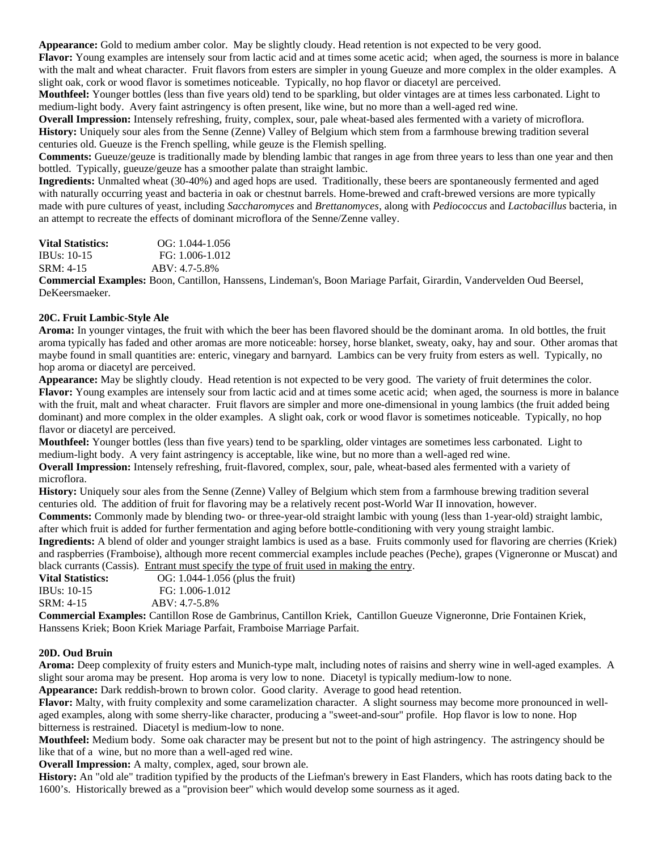**Appearance:** Gold to medium amber color. May be slightly cloudy. Head retention is not expected to be very good.

**Flavor:** Young examples are intensely sour from lactic acid and at times some acetic acid; when aged, the sourness is more in balance with the malt and wheat character. Fruit flavors from esters are simpler in young Gueuze and more complex in the older examples. A slight oak, cork or wood flavor is sometimes noticeable. Typically, no hop flavor or diacetyl are perceived.

**Mouthfeel:** Younger bottles (less than five years old) tend to be sparkling, but older vintages are at times less carbonated. Light to medium-light body. Avery faint astringency is often present, like wine, but no more than a well-aged red wine.

**Overall Impression:** Intensely refreshing, fruity, complex, sour, pale wheat-based ales fermented with a variety of microflora. **History:** Uniquely sour ales from the Senne (Zenne) Valley of Belgium which stem from a farmhouse brewing tradition several centuries old. Gueuze is the French spelling, while geuze is the Flemish spelling.

**Comments:** Gueuze/geuze is traditionally made by blending lambic that ranges in age from three years to less than one year and then bottled. Typically, gueuze/geuze has a smoother palate than straight lambic.

**Ingredients:** Unmalted wheat (30-40%) and aged hops are used. Traditionally, these beers are spontaneously fermented and aged with naturally occurring yeast and bacteria in oak or chestnut barrels. Home-brewed and craft-brewed versions are more typically made with pure cultures of yeast, including *Saccharomyces* and *Brettanomyces*, along with *Pediococcus* and *Lactobacillus* bacteria, in an attempt to recreate the effects of dominant microflora of the Senne/Zenne valley.

| <b>Vital Statistics:</b> | $OG: 1.044-1.056$ |
|--------------------------|-------------------|
| IBUs: $10-15$            | FG: 1.006-1.012   |
| SRM: 4-15                | $ABV: 4.7-5.8\%$  |
|                          |                   |

**Commercial Examples:** Boon, Cantillon, Hanssens, Lindeman's, Boon Mariage Parfait, Girardin, Vandervelden Oud Beersel, DeKeersmaeker.

#### **20C. Fruit Lambic-Style Ale**

**Aroma:** In younger vintages, the fruit with which the beer has been flavored should be the dominant aroma. In old bottles, the fruit aroma typically has faded and other aromas are more noticeable: horsey, horse blanket, sweaty, oaky, hay and sour. Other aromas that maybe found in small quantities are: enteric, vinegary and barnyard. Lambics can be very fruity from esters as well. Typically, no hop aroma or diacetyl are perceived.

**Appearance:** May be slightly cloudy. Head retention is not expected to be very good. The variety of fruit determines the color. **Flavor:** Young examples are intensely sour from lactic acid and at times some acetic acid; when aged, the sourness is more in balance with the fruit, malt and wheat character. Fruit flavors are simpler and more one-dimensional in young lambics (the fruit added being dominant) and more complex in the older examples. A slight oak, cork or wood flavor is sometimes noticeable. Typically, no hop flavor or diacetyl are perceived.

**Mouthfeel:** Younger bottles (less than five years) tend to be sparkling, older vintages are sometimes less carbonated. Light to medium-light body. A very faint astringency is acceptable, like wine, but no more than a well-aged red wine.

**Overall Impression:** Intensely refreshing, fruit-flavored, complex, sour, pale, wheat-based ales fermented with a variety of microflora.

**History:** Uniquely sour ales from the Senne (Zenne) Valley of Belgium which stem from a farmhouse brewing tradition several centuries old. The addition of fruit for flavoring may be a relatively recent post-World War II innovation, however.

**Comments:** Commonly made by blending two- or three-year-old straight lambic with young (less than 1-year-old) straight lambic, after which fruit is added for further fermentation and aging before bottle-conditioning with very young straight lambic.

**Ingredients:** A blend of older and younger straight lambics is used as a base. Fruits commonly used for flavoring are cherries (Kriek) and raspberries (Framboise), although more recent commercial examples include peaches (Peche), grapes (Vigneronne or Muscat) and black currants (Cassis). Entrant must specify the type of fruit used in making the entry.

| <b>Vital Statistics:</b> | OG: 1.044-1.056 (plus the fruit) |
|--------------------------|----------------------------------|
| <b>IBUs: 10-15</b>       | FG: 1.006-1.012                  |
| SRM: 4-15                | ABV: 4.7-5.8%                    |
|                          |                                  |

**Commercial Examples:** Cantillon Rose de Gambrinus, Cantillon Kriek, Cantillon Gueuze Vigneronne, Drie Fontainen Kriek, Hanssens Kriek; Boon Kriek Mariage Parfait, Framboise Marriage Parfait.

#### **20D. Oud Bruin**

**Aroma:** Deep complexity of fruity esters and Munich-type malt, including notes of raisins and sherry wine in well-aged examples. A slight sour aroma may be present. Hop aroma is very low to none. Diacetyl is typically medium-low to none.

**Appearance:** Dark reddish-brown to brown color. Good clarity. Average to good head retention.

**Flavor:** Malty, with fruity complexity and some caramelization character. A slight sourness may become more pronounced in wellaged examples, along with some sherry-like character, producing a "sweet-and-sour" profile. Hop flavor is low to none. Hop bitterness is restrained. Diacetyl is medium-low to none.

**Mouthfeel:** Medium body. Some oak character may be present but not to the point of high astringency. The astringency should be like that of a wine, but no more than a well-aged red wine.

**Overall Impression:** A malty, complex, aged, sour brown ale.

**History:** An "old ale" tradition typified by the products of the Liefman's brewery in East Flanders, which has roots dating back to the 1600's. Historically brewed as a "provision beer" which would develop some sourness as it aged.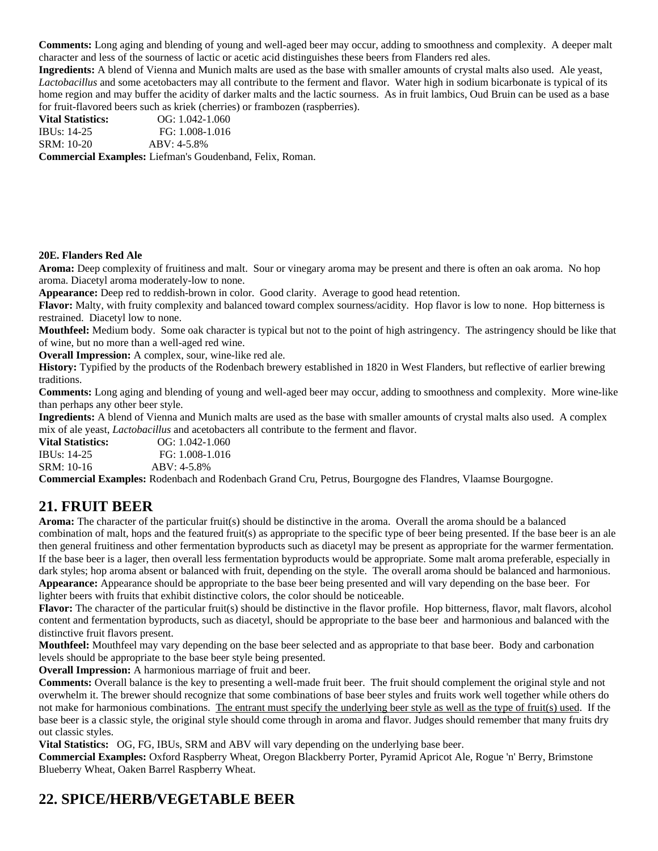**Comments:** Long aging and blending of young and well-aged beer may occur, adding to smoothness and complexity. A deeper malt character and less of the sourness of lactic or acetic acid distinguishes these beers from Flanders red ales.

**Ingredients:** A blend of Vienna and Munich malts are used as the base with smaller amounts of crystal malts also used. Ale yeast, *Lactobacillus* and some acetobacters may all contribute to the ferment and flavor. Water high in sodium bicarbonate is typical of its home region and may buffer the acidity of darker malts and the lactic sourness. As in fruit lambics, Oud Bruin can be used as a base for fruit-flavored beers such as kriek (cherries) or frambozen (raspberries).

**Vital Statistics:** OG: 1.042-1.060 IBUs: 14-25 FG: 1.008-1.016 SRM: 10-20 ABV: 4-5.8% **Commercial Examples:** Liefman's Goudenband, Felix, Roman.

#### **20E. Flanders Red Ale**

**Aroma:** Deep complexity of fruitiness and malt. Sour or vinegary aroma may be present and there is often an oak aroma. No hop aroma. Diacetyl aroma moderately-low to none.

**Appearance:** Deep red to reddish-brown in color. Good clarity. Average to good head retention.

**Flavor:** Malty, with fruity complexity and balanced toward complex sourness/acidity. Hop flavor is low to none. Hop bitterness is restrained. Diacetyl low to none.

**Mouthfeel:** Medium body. Some oak character is typical but not to the point of high astringency. The astringency should be like that of wine, but no more than a well-aged red wine.

**Overall Impression:** A complex, sour, wine-like red ale.

**History:** Typified by the products of the Rodenbach brewery established in 1820 in West Flanders, but reflective of earlier brewing traditions.

**Comments:** Long aging and blending of young and well-aged beer may occur, adding to smoothness and complexity. More wine-like than perhaps any other beer style.

**Ingredients:** A blend of Vienna and Munich malts are used as the base with smaller amounts of crystal malts also used. A complex mix of ale yeast, *Lactobacillus* and acetobacters all contribute to the ferment and flavor.

**Vital Statistics:** OG: 1.042-1.060 IBUs: 14-25 FG: 1.008-1.016 SRM: 10-16 ABV: 4-5.8%

**Commercial Examples:** Rodenbach and Rodenbach Grand Cru, Petrus, Bourgogne des Flandres, Vlaamse Bourgogne.

### **21. FRUIT BEER**

**Aroma:** The character of the particular fruit(s) should be distinctive in the aroma. Overall the aroma should be a balanced combination of malt, hops and the featured fruit(s) as appropriate to the specific type of beer being presented. If the base beer is an ale then general fruitiness and other fermentation byproducts such as diacetyl may be present as appropriate for the warmer fermentation. If the base beer is a lager, then overall less fermentation byproducts would be appropriate. Some malt aroma preferable, especially in dark styles; hop aroma absent or balanced with fruit, depending on the style. The overall aroma should be balanced and harmonious. **Appearance:** Appearance should be appropriate to the base beer being presented and will vary depending on the base beer. For lighter beers with fruits that exhibit distinctive colors, the color should be noticeable.

**Flavor:** The character of the particular fruit(s) should be distinctive in the flavor profile. Hop bitterness, flavor, malt flavors, alcohol content and fermentation byproducts, such as diacetyl, should be appropriate to the base beer and harmonious and balanced with the distinctive fruit flavors present.

**Mouthfeel:** Mouthfeel may vary depending on the base beer selected and as appropriate to that base beer. Body and carbonation levels should be appropriate to the base beer style being presented.

**Overall Impression:** A harmonious marriage of fruit and beer.

**Comments:** Overall balance is the key to presenting a well-made fruit beer. The fruit should complement the original style and not overwhelm it. The brewer should recognize that some combinations of base beer styles and fruits work well together while others do not make for harmonious combinations. The entrant must specify the underlying beer style as well as the type of fruit(s) used. If the base beer is a classic style, the original style should come through in aroma and flavor. Judges should remember that many fruits dry out classic styles.

**Vital Statistics:** OG, FG, IBUs, SRM and ABV will vary depending on the underlying base beer.

**Commercial Examples:** Oxford Raspberry Wheat, Oregon Blackberry Porter, Pyramid Apricot Ale, Rogue 'n' Berry, Brimstone Blueberry Wheat, Oaken Barrel Raspberry Wheat.

# **22. SPICE/HERB/VEGETABLE BEER**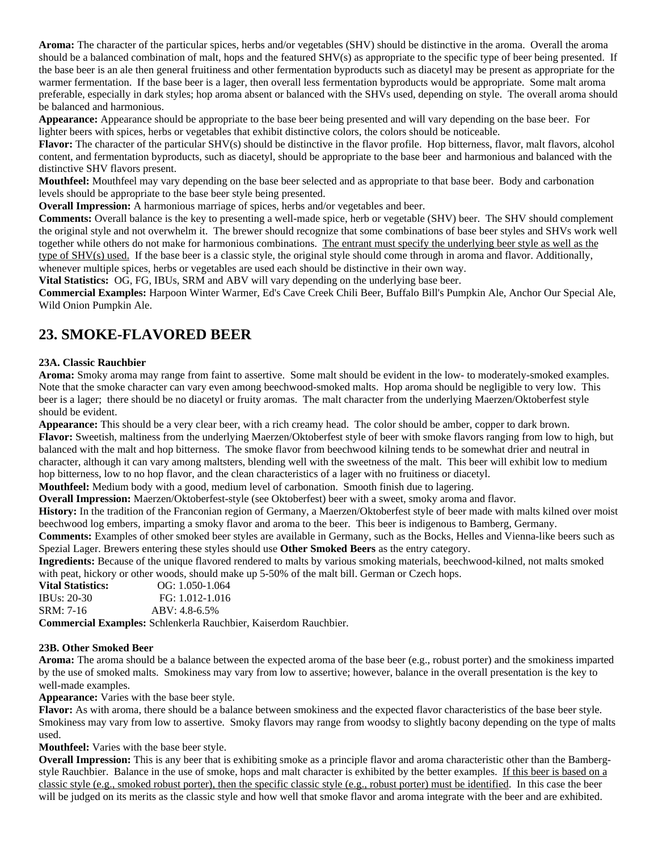**Aroma:** The character of the particular spices, herbs and/or vegetables (SHV) should be distinctive in the aroma. Overall the aroma should be a balanced combination of malt, hops and the featured SHV(s) as appropriate to the specific type of beer being presented. If the base beer is an ale then general fruitiness and other fermentation byproducts such as diacetyl may be present as appropriate for the warmer fermentation. If the base beer is a lager, then overall less fermentation byproducts would be appropriate. Some malt aroma preferable, especially in dark styles; hop aroma absent or balanced with the SHVs used, depending on style. The overall aroma should be balanced and harmonious.

**Appearance:** Appearance should be appropriate to the base beer being presented and will vary depending on the base beer. For lighter beers with spices, herbs or vegetables that exhibit distinctive colors, the colors should be noticeable.

**Flavor:** The character of the particular SHV(s) should be distinctive in the flavor profile. Hop bitterness, flavor, malt flavors, alcohol content, and fermentation byproducts, such as diacetyl, should be appropriate to the base beer and harmonious and balanced with the distinctive SHV flavors present.

**Mouthfeel:** Mouthfeel may vary depending on the base beer selected and as appropriate to that base beer. Body and carbonation levels should be appropriate to the base beer style being presented.

**Overall Impression:** A harmonious marriage of spices, herbs and/or vegetables and beer.

**Comments:** Overall balance is the key to presenting a well-made spice, herb or vegetable (SHV) beer. The SHV should complement the original style and not overwhelm it. The brewer should recognize that some combinations of base beer styles and SHVs work well together while others do not make for harmonious combinations. The entrant must specify the underlying beer style as well as the type of SHV(s) used. If the base beer is a classic style, the original style should come through in aroma and flavor. Additionally, whenever multiple spices, herbs or vegetables are used each should be distinctive in their own way.

**Vital Statistics:** OG, FG, IBUs, SRM and ABV will vary depending on the underlying base beer.

**Commercial Examples:** Harpoon Winter Warmer, Ed's Cave Creek Chili Beer, Buffalo Bill's Pumpkin Ale, Anchor Our Special Ale, Wild Onion Pumpkin Ale.

### **23. SMOKE-FLAVORED BEER**

#### **23A. Classic Rauchbier**

**Aroma:** Smoky aroma may range from faint to assertive. Some malt should be evident in the low- to moderately-smoked examples. Note that the smoke character can vary even among beechwood-smoked malts. Hop aroma should be negligible to very low. This beer is a lager; there should be no diacetyl or fruity aromas. The malt character from the underlying Maerzen/Oktoberfest style should be evident.

**Appearance:** This should be a very clear beer, with a rich creamy head. The color should be amber, copper to dark brown. **Flavor:** Sweetish, maltiness from the underlying Maerzen/Oktoberfest style of beer with smoke flavors ranging from low to high, but balanced with the malt and hop bitterness. The smoke flavor from beechwood kilning tends to be somewhat drier and neutral in character, although it can vary among maltsters, blending well with the sweetness of the malt. This beer will exhibit low to medium hop bitterness, low to no hop flavor, and the clean characteristics of a lager with no fruitiness or diacetyl.

**Mouthfeel:** Medium body with a good, medium level of carbonation. Smooth finish due to lagering.

**Overall Impression:** Maerzen/Oktoberfest-style (see Oktoberfest) beer with a sweet, smoky aroma and flavor.

**History:** In the tradition of the Franconian region of Germany, a Maerzen/Oktoberfest style of beer made with malts kilned over moist beechwood log embers, imparting a smoky flavor and aroma to the beer. This beer is indigenous to Bamberg, Germany.

**Comments:** Examples of other smoked beer styles are available in Germany, such as the Bocks, Helles and Vienna-like beers such as Spezial Lager. Brewers entering these styles should use **Other Smoked Beers** as the entry category.

**Ingredients:** Because of the unique flavored rendered to malts by various smoking materials, beechwood-kilned, not malts smoked with peat, hickory or other woods, should make up 5-50% of the malt bill. German or Czech hops.

| <b>Vital Statistics:</b> | $OG: 1.050-1.064$ |
|--------------------------|-------------------|
| IBUs: $20-30$            | FG: 1.012-1.016   |
| SRM: 7-16                | $ABV: 4.8-6.5%$   |
|                          |                   |

**Commercial Examples:** Schlenkerla Rauchbier, Kaiserdom Rauchbier.

#### **23B. Other Smoked Beer**

**Aroma:** The aroma should be a balance between the expected aroma of the base beer (e.g., robust porter) and the smokiness imparted by the use of smoked malts. Smokiness may vary from low to assertive; however, balance in the overall presentation is the key to well-made examples.

**Appearance:** Varies with the base beer style.

**Flavor:** As with aroma, there should be a balance between smokiness and the expected flavor characteristics of the base beer style. Smokiness may vary from low to assertive. Smoky flavors may range from woodsy to slightly bacony depending on the type of malts used.

**Mouthfeel:** Varies with the base beer style.

**Overall Impression:** This is any beer that is exhibiting smoke as a principle flavor and aroma characteristic other than the Bambergstyle Rauchbier. Balance in the use of smoke, hops and malt character is exhibited by the better examples. If this beer is based on a classic style (e.g., smoked robust porter), then the specific classic style (e.g., robust porter) must be identified. In this case the beer will be judged on its merits as the classic style and how well that smoke flavor and aroma integrate with the beer and are exhibited.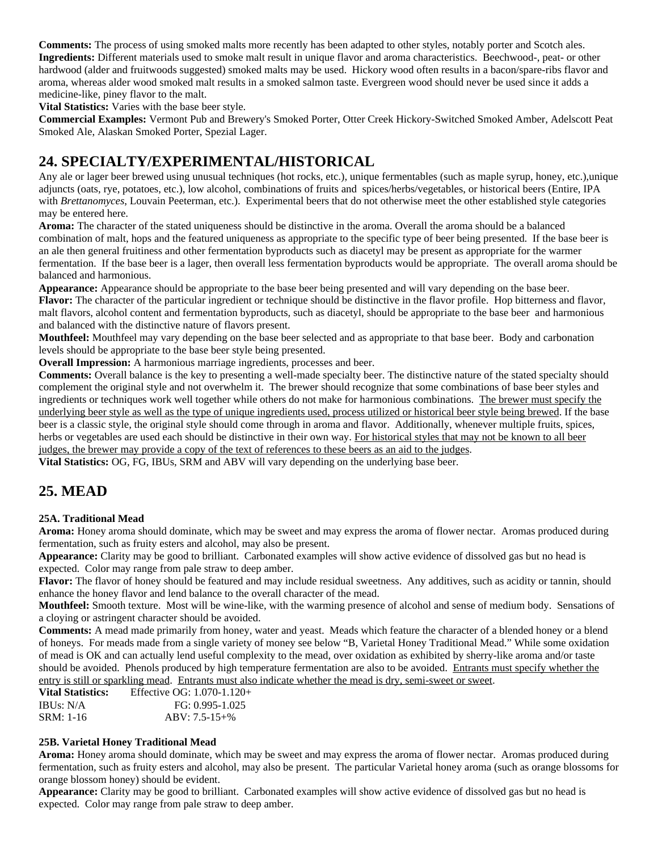**Comments:** The process of using smoked malts more recently has been adapted to other styles, notably porter and Scotch ales. **Ingredients:** Different materials used to smoke malt result in unique flavor and aroma characteristics. Beechwood-, peat- or other hardwood (alder and fruitwoods suggested) smoked malts may be used. Hickory wood often results in a bacon/spare-ribs flavor and aroma, whereas alder wood smoked malt results in a smoked salmon taste. Evergreen wood should never be used since it adds a medicine-like, piney flavor to the malt.

**Vital Statistics:** Varies with the base beer style.

**Commercial Examples:** Vermont Pub and Brewery's Smoked Porter, Otter Creek Hickory-Switched Smoked Amber, Adelscott Peat Smoked Ale, Alaskan Smoked Porter, Spezial Lager.

# **24. SPECIALTY/EXPERIMENTAL/HISTORICAL**

Any ale or lager beer brewed using unusual techniques (hot rocks, etc.), unique fermentables (such as maple syrup, honey, etc.),unique adjuncts (oats, rye, potatoes, etc.), low alcohol, combinations of fruits and spices/herbs/vegetables, or historical beers (Entire, IPA with *Brettanomyces*, Louvain Peeterman, etc.). Experimental beers that do not otherwise meet the other established style categories may be entered here.

**Aroma:** The character of the stated uniqueness should be distinctive in the aroma. Overall the aroma should be a balanced combination of malt, hops and the featured uniqueness as appropriate to the specific type of beer being presented. If the base beer is an ale then general fruitiness and other fermentation byproducts such as diacetyl may be present as appropriate for the warmer fermentation. If the base beer is a lager, then overall less fermentation byproducts would be appropriate. The overall aroma should be balanced and harmonious.

**Appearance:** Appearance should be appropriate to the base beer being presented and will vary depending on the base beer. **Flavor:** The character of the particular ingredient or technique should be distinctive in the flavor profile. Hop bitterness and flavor, malt flavors, alcohol content and fermentation byproducts, such as diacetyl, should be appropriate to the base beer and harmonious and balanced with the distinctive nature of flavors present.

**Mouthfeel:** Mouthfeel may vary depending on the base beer selected and as appropriate to that base beer. Body and carbonation levels should be appropriate to the base beer style being presented.

**Overall Impression:** A harmonious marriage ingredients, processes and beer.

**Comments:** Overall balance is the key to presenting a well-made specialty beer. The distinctive nature of the stated specialty should complement the original style and not overwhelm it. The brewer should recognize that some combinations of base beer styles and ingredients or techniques work well together while others do not make for harmonious combinations. The brewer must specify the underlying beer style as well as the type of unique ingredients used, process utilized or historical beer style being brewed. If the base beer is a classic style, the original style should come through in aroma and flavor. Additionally, whenever multiple fruits, spices, herbs or vegetables are used each should be distinctive in their own way. For historical styles that may not be known to all beer judges, the brewer may provide a copy of the text of references to these beers as an aid to the judges.

**Vital Statistics:** OG, FG, IBUs, SRM and ABV will vary depending on the underlying base beer.

# **25. MEAD**

### **25A. Traditional Mead**

**Aroma:** Honey aroma should dominate, which may be sweet and may express the aroma of flower nectar. Aromas produced during fermentation, such as fruity esters and alcohol, may also be present.

**Appearance:** Clarity may be good to brilliant. Carbonated examples will show active evidence of dissolved gas but no head is expected. Color may range from pale straw to deep amber.

**Flavor:** The flavor of honey should be featured and may include residual sweetness. Any additives, such as acidity or tannin, should enhance the honey flavor and lend balance to the overall character of the mead.

**Mouthfeel:** Smooth texture. Most will be wine-like, with the warming presence of alcohol and sense of medium body. Sensations of a cloying or astringent character should be avoided.

**Comments:** A mead made primarily from honey, water and yeast. Meads which feature the character of a blended honey or a blend of honeys. For meads made from a single variety of money see below "B, Varietal Honey Traditional Mead." While some oxidation of mead is OK and can actually lend useful complexity to the mead, over oxidation as exhibited by sherry-like aroma and/or taste should be avoided. Phenols produced by high temperature fermentation are also to be avoided. Entrants must specify whether the entry is still or sparkling mead. Entrants must also indicate whether the mead is dry, semi-sweet or sweet.

| Effective OG: $1.070 - 1.120 +$ |
|---------------------------------|
| $FG: 0.995-1.025$               |
| $ABV: 7.5-15+%$                 |
|                                 |

### **25B. Varietal Honey Traditional Mead**

**Aroma:** Honey aroma should dominate, which may be sweet and may express the aroma of flower nectar. Aromas produced during fermentation, such as fruity esters and alcohol, may also be present. The particular Varietal honey aroma (such as orange blossoms for orange blossom honey) should be evident.

**Appearance:** Clarity may be good to brilliant. Carbonated examples will show active evidence of dissolved gas but no head is expected. Color may range from pale straw to deep amber.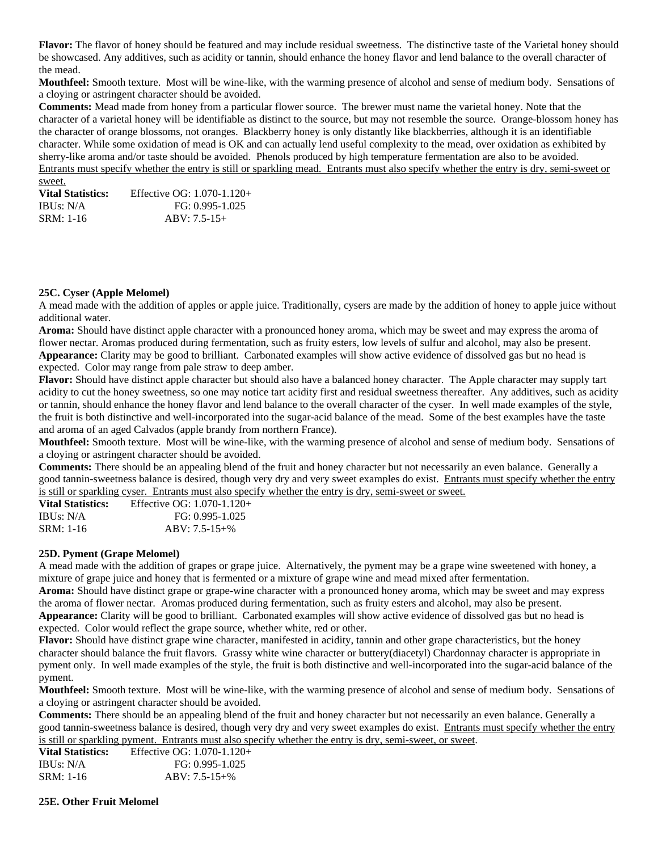**Flavor:** The flavor of honey should be featured and may include residual sweetness. The distinctive taste of the Varietal honey should be showcased. Any additives, such as acidity or tannin, should enhance the honey flavor and lend balance to the overall character of the mead.

**Mouthfeel:** Smooth texture. Most will be wine-like, with the warming presence of alcohol and sense of medium body. Sensations of a cloying or astringent character should be avoided.

**Comments:** Mead made from honey from a particular flower source. The brewer must name the varietal honey. Note that the character of a varietal honey will be identifiable as distinct to the source, but may not resemble the source. Orange-blossom honey has the character of orange blossoms, not oranges. Blackberry honey is only distantly like blackberries, although it is an identifiable character. While some oxidation of mead is OK and can actually lend useful complexity to the mead, over oxidation as exhibited by sherry-like aroma and/or taste should be avoided. Phenols produced by high temperature fermentation are also to be avoided. Entrants must specify whether the entry is still or sparkling mead. Entrants must also specify whether the entry is dry, semi-sweet or sweet.

**Vital Statistics:** Effective OG: 1.070-1.120+ IBUs: N/A FG: 0.995-1.025 SRM: 1-16 ABV: 7.5-15+

#### **25C. Cyser (Apple Melomel)**

A mead made with the addition of apples or apple juice. Traditionally, cysers are made by the addition of honey to apple juice without additional water.

**Aroma:** Should have distinct apple character with a pronounced honey aroma, which may be sweet and may express the aroma of flower nectar. Aromas produced during fermentation, such as fruity esters, low levels of sulfur and alcohol, may also be present. **Appearance:** Clarity may be good to brilliant. Carbonated examples will show active evidence of dissolved gas but no head is expected. Color may range from pale straw to deep amber.

**Flavor:** Should have distinct apple character but should also have a balanced honey character. The Apple character may supply tart acidity to cut the honey sweetness, so one may notice tart acidity first and residual sweetness thereafter. Any additives, such as acidity or tannin, should enhance the honey flavor and lend balance to the overall character of the cyser. In well made examples of the style, the fruit is both distinctive and well-incorporated into the sugar-acid balance of the mead. Some of the best examples have the taste and aroma of an aged Calvados (apple brandy from northern France).

**Mouthfeel:** Smooth texture. Most will be wine-like, with the warming presence of alcohol and sense of medium body. Sensations of a cloying or astringent character should be avoided.

**Comments:** There should be an appealing blend of the fruit and honey character but not necessarily an even balance. Generally a good tannin-sweetness balance is desired, though very dry and very sweet examples do exist. Entrants must specify whether the entry is still or sparkling cyser. Entrants must also specify whether the entry is dry, semi-sweet or sweet.

**Vital Statistics:** Effective OG: 1.070-1.120+ IBUs: N/A FG: 0.995-1.025 SRM: 1-16 ABV: 7.5-15+%

#### **25D. Pyment (Grape Melomel)**

A mead made with the addition of grapes or grape juice. Alternatively, the pyment may be a grape wine sweetened with honey, a mixture of grape juice and honey that is fermented or a mixture of grape wine and mead mixed after fermentation.

**Aroma:** Should have distinct grape or grape-wine character with a pronounced honey aroma, which may be sweet and may express the aroma of flower nectar. Aromas produced during fermentation, such as fruity esters and alcohol, may also be present. **Appearance:** Clarity will be good to brilliant. Carbonated examples will show active evidence of dissolved gas but no head is expected. Color would reflect the grape source, whether white, red or other.

**Flavor:** Should have distinct grape wine character, manifested in acidity, tannin and other grape characteristics, but the honey character should balance the fruit flavors. Grassy white wine character or buttery(diacetyl) Chardonnay character is appropriate in pyment only. In well made examples of the style, the fruit is both distinctive and well-incorporated into the sugar-acid balance of the pyment.

**Mouthfeel:** Smooth texture. Most will be wine-like, with the warming presence of alcohol and sense of medium body. Sensations of a cloying or astringent character should be avoided.

**Comments:** There should be an appealing blend of the fruit and honey character but not necessarily an even balance. Generally a good tannin-sweetness balance is desired, though very dry and very sweet examples do exist. Entrants must specify whether the entry is still or sparkling pyment. Entrants must also specify whether the entry is dry, semi-sweet, or sweet.

**Vital Statistics:** Effective OG: 1.070-1.120+ IBUs: N/A FG: 0.995-1.025 SRM: 1-16 ABV: 7.5-15+%

**25E. Other Fruit Melomel**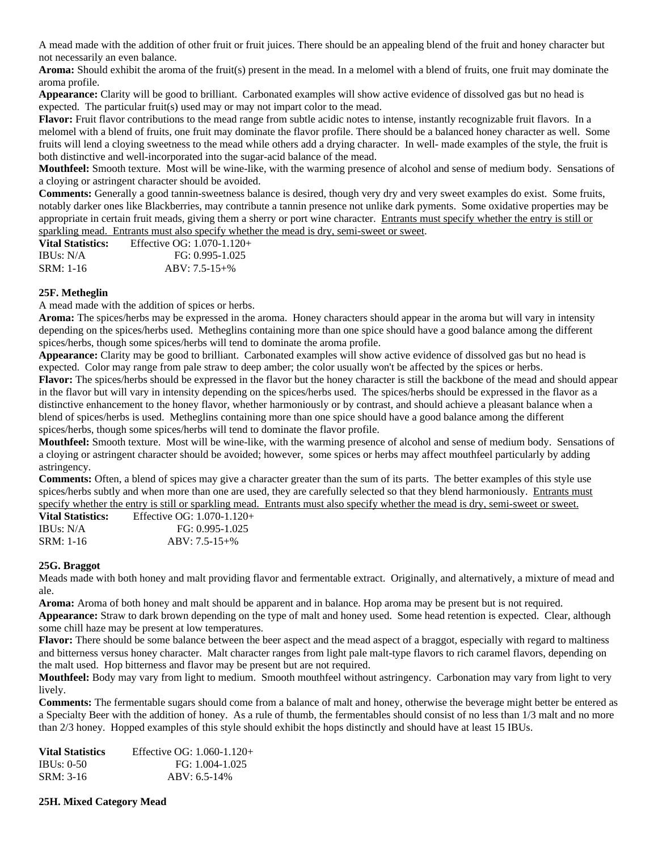A mead made with the addition of other fruit or fruit juices. There should be an appealing blend of the fruit and honey character but not necessarily an even balance.

**Aroma:** Should exhibit the aroma of the fruit(s) present in the mead. In a melomel with a blend of fruits, one fruit may dominate the aroma profile.

**Appearance:** Clarity will be good to brilliant. Carbonated examples will show active evidence of dissolved gas but no head is expected. The particular fruit(s) used may or may not impart color to the mead.

**Flavor:** Fruit flavor contributions to the mead range from subtle acidic notes to intense, instantly recognizable fruit flavors. In a melomel with a blend of fruits, one fruit may dominate the flavor profile. There should be a balanced honey character as well. Some fruits will lend a cloying sweetness to the mead while others add a drying character. In well- made examples of the style, the fruit is both distinctive and well-incorporated into the sugar-acid balance of the mead.

**Mouthfeel:** Smooth texture. Most will be wine-like, with the warming presence of alcohol and sense of medium body. Sensations of a cloying or astringent character should be avoided.

**Comments:** Generally a good tannin-sweetness balance is desired, though very dry and very sweet examples do exist. Some fruits, notably darker ones like Blackberries, may contribute a tannin presence not unlike dark pyments. Some oxidative properties may be appropriate in certain fruit meads, giving them a sherry or port wine character. Entrants must specify whether the entry is still or sparkling mead. Entrants must also specify whether the mead is dry, semi-sweet or sweet.

| <b>Vital Statistics:</b> | Effective OG: $1.070 - 1.120 +$ |
|--------------------------|---------------------------------|
| IBUs: N/A                | FG: 0.995-1.025                 |
| SRM: 1-16                | $ABV: 7.5-15+%$                 |

#### **25F. Metheglin**

A mead made with the addition of spices or herbs.

**Aroma:** The spices/herbs may be expressed in the aroma. Honey characters should appear in the aroma but will vary in intensity depending on the spices/herbs used. Metheglins containing more than one spice should have a good balance among the different spices/herbs, though some spices/herbs will tend to dominate the aroma profile.

**Appearance:** Clarity may be good to brilliant. Carbonated examples will show active evidence of dissolved gas but no head is expected. Color may range from pale straw to deep amber; the color usually won't be affected by the spices or herbs.

**Flavor:** The spices/herbs should be expressed in the flavor but the honey character is still the backbone of the mead and should appear in the flavor but will vary in intensity depending on the spices/herbs used. The spices/herbs should be expressed in the flavor as a distinctive enhancement to the honey flavor, whether harmoniously or by contrast, and should achieve a pleasant balance when a blend of spices/herbs is used. Metheglins containing more than one spice should have a good balance among the different spices/herbs, though some spices/herbs will tend to dominate the flavor profile.

**Mouthfeel:** Smooth texture. Most will be wine-like, with the warming presence of alcohol and sense of medium body. Sensations of a cloying or astringent character should be avoided; however, some spices or herbs may affect mouthfeel particularly by adding astringency.

**Comments:** Often, a blend of spices may give a character greater than the sum of its parts. The better examples of this style use spices/herbs subtly and when more than one are used, they are carefully selected so that they blend harmoniously. Entrants must specify whether the entry is still or sparkling mead. Entrants must also specify whether the mead is dry, semi-sweet or sweet.

| <b>Vital Statistics:</b> | Effective OG: $1.070 - 1.120 +$ |
|--------------------------|---------------------------------|
| IBUs: N/A                | FG: 0.995-1.025                 |
| SRM: 1-16                | $ABV: 7.5-15+%$                 |

#### **25G. Braggot**

Meads made with both honey and malt providing flavor and fermentable extract. Originally, and alternatively, a mixture of mead and ale.

**Aroma:** Aroma of both honey and malt should be apparent and in balance. Hop aroma may be present but is not required.

**Appearance:** Straw to dark brown depending on the type of malt and honey used. Some head retention is expected. Clear, although some chill haze may be present at low temperatures.

**Flavor:** There should be some balance between the beer aspect and the mead aspect of a braggot, especially with regard to maltiness and bitterness versus honey character. Malt character ranges from light pale malt-type flavors to rich caramel flavors, depending on the malt used. Hop bitterness and flavor may be present but are not required.

**Mouthfeel:** Body may vary from light to medium. Smooth mouthfeel without astringency. Carbonation may vary from light to very lively.

**Comments:** The fermentable sugars should come from a balance of malt and honey, otherwise the beverage might better be entered as a Specialty Beer with the addition of honey. As a rule of thumb, the fermentables should consist of no less than 1/3 malt and no more than 2/3 honey. Hopped examples of this style should exhibit the hops distinctly and should have at least 15 IBUs.

| Effective OG: $1.060 - 1.120 +$ |
|---------------------------------|
| FG: 1.004-1.025                 |
| $ABV: 6.5-14%$                  |
|                                 |

#### **25H. Mixed Category Mead**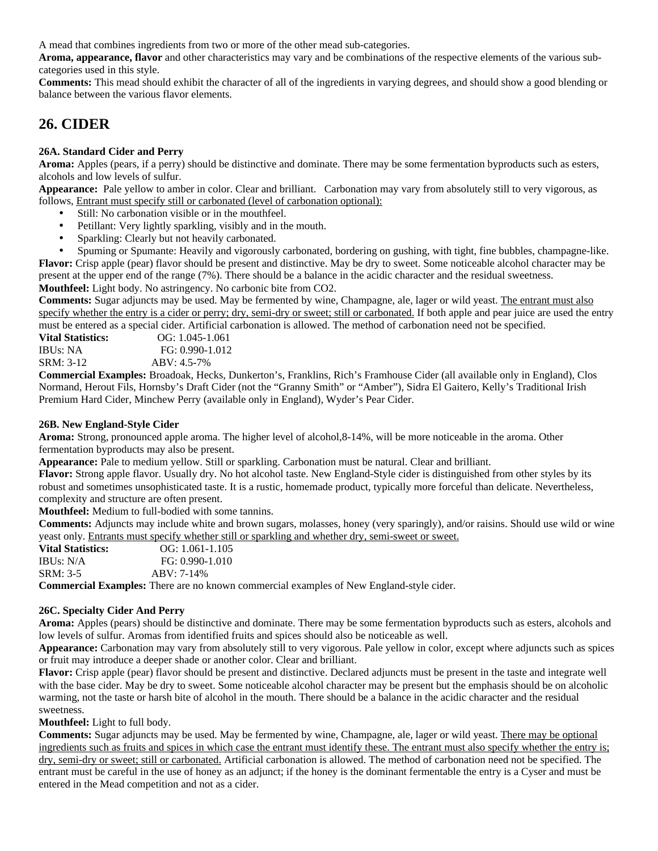A mead that combines ingredients from two or more of the other mead sub-categories.

**Aroma, appearance, flavor** and other characteristics may vary and be combinations of the respective elements of the various subcategories used in this style.

**Comments:** This mead should exhibit the character of all of the ingredients in varying degrees, and should show a good blending or balance between the various flavor elements.

### **26. CIDER**

### **26A. Standard Cider and Perry**

**Aroma:** Apples (pears, if a perry) should be distinctive and dominate. There may be some fermentation byproducts such as esters, alcohols and low levels of sulfur.

**Appearance:** Pale yellow to amber in color. Clear and brilliant. Carbonation may vary from absolutely still to very vigorous, as follows, Entrant must specify still or carbonated (level of carbonation optional):

- Still: No carbonation visible or in the mouthfeel.
- Petillant: Very lightly sparkling, visibly and in the mouth.
- Sparkling: Clearly but not heavily carbonated.

• Spuming or Spumante: Heavily and vigorously carbonated, bordering on gushing, with tight, fine bubbles, champagne-like. **Flavor:** Crisp apple (pear) flavor should be present and distinctive. May be dry to sweet. Some noticeable alcohol character may be present at the upper end of the range (7%). There should be a balance in the acidic character and the residual sweetness.

**Mouthfeel:** Light body. No astringency. No carbonic bite from CO2.

**Comments:** Sugar adjuncts may be used. May be fermented by wine, Champagne, ale, lager or wild yeast. The entrant must also specify whether the entry is a cider or perry; dry, semi-dry or sweet; still or carbonated. If both apple and pear juice are used the entry must be entered as a special cider. Artificial carbonation is allowed. The method of carbonation need not be specified.

**Vital Statistics:** OG: 1.045-1.061 IBUs: NA FG: 0.990-1.012 SRM: 3-12 ABV: 4.5-7%

**Commercial Examples:** Broadoak, Hecks, Dunkerton's, Franklins, Rich's Framhouse Cider (all available only in England), Clos Normand, Herout Fils, Hornsby's Draft Cider (not the "Granny Smith" or "Amber"), Sidra El Gaitero, Kelly's Traditional Irish Premium Hard Cider, Minchew Perry (available only in England), Wyder's Pear Cider.

#### **26B. New England-Style Cider**

**Aroma:** Strong, pronounced apple aroma. The higher level of alcohol,8-14%, will be more noticeable in the aroma. Other fermentation byproducts may also be present.

**Appearance:** Pale to medium yellow. Still or sparkling. Carbonation must be natural. Clear and brilliant.

**Flavor:** Strong apple flavor. Usually dry. No hot alcohol taste. New England-Style cider is distinguished from other styles by its robust and sometimes unsophisticated taste. It is a rustic, homemade product, typically more forceful than delicate. Nevertheless, complexity and structure are often present.

**Mouthfeel:** Medium to full-bodied with some tannins.

**Comments:** Adjuncts may include white and brown sugars, molasses, honey (very sparingly), and/or raisins. Should use wild or wine yeast only. Entrants must specify whether still or sparkling and whether dry, semi-sweet or sweet.

| <b>Vital Statistics:</b> | $OG: 1.061-1.105$   |  |
|--------------------------|---------------------|--|
| IBUs: N/A                | $FG: 0.990 - 1.010$ |  |
| SRM: 3-5                 | $ABV: 7-14%$        |  |
| .                        |                     |  |

**Commercial Examples:** There are no known commercial examples of New England-style cider.

#### **26C. Specialty Cider And Perry**

**Aroma:** Apples (pears) should be distinctive and dominate. There may be some fermentation byproducts such as esters, alcohols and low levels of sulfur. Aromas from identified fruits and spices should also be noticeable as well.

**Appearance:** Carbonation may vary from absolutely still to very vigorous. Pale yellow in color, except where adjuncts such as spices or fruit may introduce a deeper shade or another color. Clear and brilliant.

**Flavor:** Crisp apple (pear) flavor should be present and distinctive. Declared adjuncts must be present in the taste and integrate well with the base cider. May be dry to sweet. Some noticeable alcohol character may be present but the emphasis should be on alcoholic warming, not the taste or harsh bite of alcohol in the mouth. There should be a balance in the acidic character and the residual sweetness.

**Mouthfeel:** Light to full body.

**Comments:** Sugar adjuncts may be used. May be fermented by wine, Champagne, ale, lager or wild yeast. There may be optional ingredients such as fruits and spices in which case the entrant must identify these. The entrant must also specify whether the entry is; dry, semi-dry or sweet; still or carbonated. Artificial carbonation is allowed. The method of carbonation need not be specified. The entrant must be careful in the use of honey as an adjunct; if the honey is the dominant fermentable the entry is a Cyser and must be entered in the Mead competition and not as a cider.